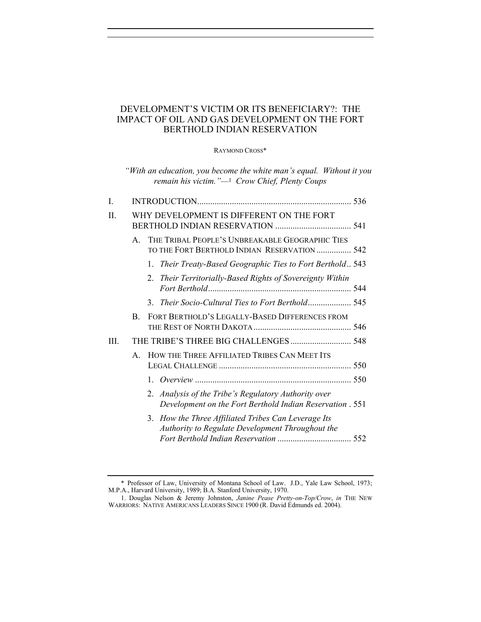## DEVELOPMENT'S VICTIM OR ITS BENEFICIARY?: THE IMPACT OF OIL AND GAS DEVELOPMENT ON THE FORT BERTHOLD INDIAN RESERVATION

RAYMOND CROSS\*

|         |                                          | "With an education, you become the white man's equal. Without it you<br>remain his victim." $-1$ Crow Chief, Plenty Coups |  |  |  |
|---------|------------------------------------------|---------------------------------------------------------------------------------------------------------------------------|--|--|--|
| I.      |                                          |                                                                                                                           |  |  |  |
| $\Pi$ . | WHY DEVELOPMENT IS DIFFERENT ON THE FORT |                                                                                                                           |  |  |  |
|         | $\mathbf{A}$                             | THE TRIBAL PEOPLE'S UNBREAKABLE GEOGRAPHIC TIES<br>TO THE FORT BERTHOLD INDIAN RESERVATION  542                           |  |  |  |
|         |                                          | Their Treaty-Based Geographic Ties to Fort Berthold 543<br>1.                                                             |  |  |  |
|         |                                          | 2. Their Territorially-Based Rights of Sovereignty Within                                                                 |  |  |  |
|         |                                          | $\mathcal{E}$                                                                                                             |  |  |  |
|         | B.                                       | FORT BERTHOLD'S LEGALLY-BASED DIFFERENCES FROM                                                                            |  |  |  |
| III.    | THE TRIBE'S THREE BIG CHALLENGES 548     |                                                                                                                           |  |  |  |
|         | $A_{\cdot}$                              | HOW THE THREE AFFILIATED TRIBES CAN MEET ITS                                                                              |  |  |  |
|         |                                          |                                                                                                                           |  |  |  |
|         |                                          | Analysis of the Tribe's Regulatory Authority over<br>2.<br>Development on the Fort Berthold Indian Reservation . 551      |  |  |  |
|         |                                          | 3. How the Three Affiliated Tribes Can Leverage Its<br>Authority to Regulate Development Throughout the                   |  |  |  |

<sup>\*</sup> Professor of Law, University of Montana School of Law. J.D., Yale Law School, 1973; M.P.A., Harvard University, 1989; B.A. Stanford University, 1970.

<sup>1.</sup> Douglas Nelson & Jeremy Johnston, *Janine Pease Pretty-on-Top/Crow*, *in* THE NEW WARRIORS: NATIVE AMERICANS LEADERS SINCE 1900 (R. David Edmunds ed. 2004).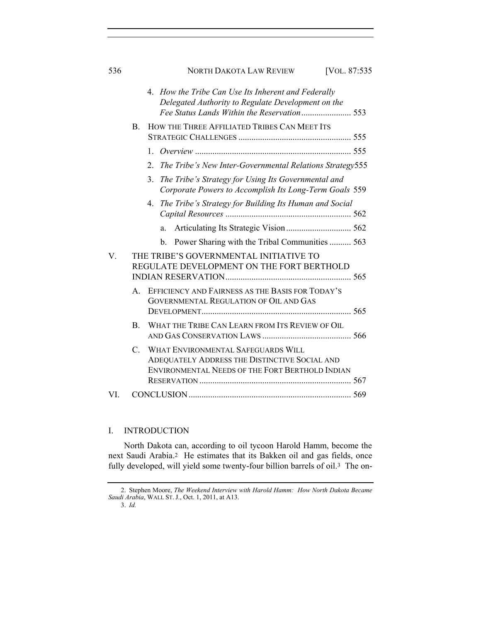|    |                                                                                     |                |              | 4. How the Tribe Can Use Its Inherent and Federally<br>Delegated Authority to Regulate Development on the                              |  |  |  |
|----|-------------------------------------------------------------------------------------|----------------|--------------|----------------------------------------------------------------------------------------------------------------------------------------|--|--|--|
|    | B.                                                                                  |                |              | HOW THE THREE AFFILIATED TRIBES CAN MEET ITS                                                                                           |  |  |  |
|    |                                                                                     |                |              |                                                                                                                                        |  |  |  |
|    |                                                                                     | $\overline{2}$ |              | The Tribe's New Inter-Governmental Relations Strategy555                                                                               |  |  |  |
|    |                                                                                     | 3.             |              | The Tribe's Strategy for Using Its Governmental and<br>Corporate Powers to Accomplish Its Long-Term Goals 559                          |  |  |  |
|    |                                                                                     | 4.             |              | The Tribe's Strategy for Building Its Human and Social                                                                                 |  |  |  |
|    |                                                                                     |                | a.           |                                                                                                                                        |  |  |  |
|    |                                                                                     |                | $\mathbf{b}$ | Power Sharing with the Tribal Communities  563                                                                                         |  |  |  |
| V. | THE TRIBE'S GOVERNMENTAL INITIATIVE TO<br>REGULATE DEVELOPMENT ON THE FORT BERTHOLD |                |              |                                                                                                                                        |  |  |  |
|    | $A_{-}$                                                                             |                |              | EFFICIENCY AND FAIRNESS AS THE BASIS FOR TODAY'S<br><b>GOVERNMENTAL REGULATION OF OIL AND GAS</b>                                      |  |  |  |
|    | $B_{-}$                                                                             |                |              | WHAT THE TRIBE CAN LEARN FROM ITS REVIEW OF OIL                                                                                        |  |  |  |
|    | $\mathcal{C}^-$                                                                     |                |              | WHAT ENVIRONMENTAL SAFEGUARDS WILL<br>ADEQUATELY ADDRESS THE DISTINCTIVE SOCIAL AND<br>ENVIRONMENTAL NEEDS OF THE FORT BERTHOLD INDIAN |  |  |  |
| VI |                                                                                     |                |              |                                                                                                                                        |  |  |  |
|    |                                                                                     |                |              |                                                                                                                                        |  |  |  |

## I. INTRODUCTION

North Dakota can, according to oil tycoon Harold Hamm, become the next Saudi Arabia.2 He estimates that its Bakken oil and gas fields, once fully developed, will yield some twenty-four billion barrels of oil.3 The on-

<sup>2.</sup> Stephen Moore, *The Weekend Interview with Harold Hamm: How North Dakota Became Saudi Arabia*, WALL ST. J., Oct. 1, 2011, at A13.

<sup>3.</sup> *Id.*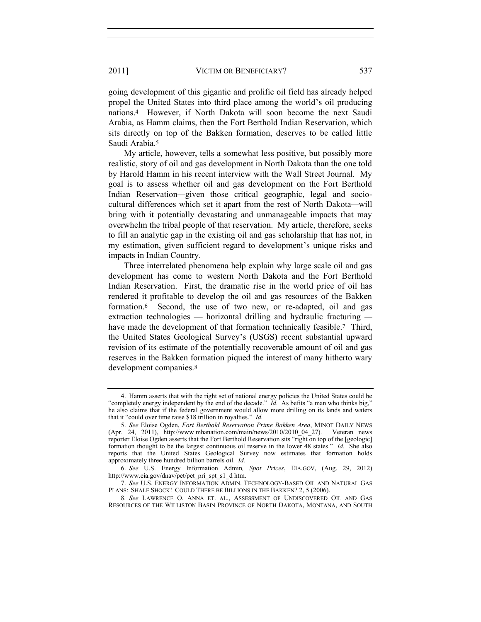going development of this gigantic and prolific oil field has already helped propel the United States into third place among the world's oil producing nations.4 However, if North Dakota will soon become the next Saudi Arabia, as Hamm claims, then the Fort Berthold Indian Reservation, which sits directly on top of the Bakken formation, deserves to be called little Saudi Arabia.<sup>5</sup>

My article, however, tells a somewhat less positive, but possibly more realistic, story of oil and gas development in North Dakota than the one told by Harold Hamm in his recent interview with the Wall Street Journal. My goal is to assess whether oil and gas development on the Fort Berthold Indian Reservation*—*given those critical geographic, legal and sociocultural differences which set it apart from the rest of North Dakota*—*will bring with it potentially devastating and unmanageable impacts that may overwhelm the tribal people of that reservation. My article, therefore, seeks to fill an analytic gap in the existing oil and gas scholarship that has not, in my estimation, given sufficient regard to development's unique risks and impacts in Indian Country.

Three interrelated phenomena help explain why large scale oil and gas development has come to western North Dakota and the Fort Berthold Indian Reservation. First, the dramatic rise in the world price of oil has rendered it profitable to develop the oil and gas resources of the Bakken formation.6 Second, the use of two new, or re-adapted, oil and gas extraction technologies — horizontal drilling and hydraulic fracturing  have made the development of that formation technically feasible.<sup>7</sup> Third, the United States Geological Survey's (USGS) recent substantial upward revision of its estimate of the potentially recoverable amount of oil and gas reserves in the Bakken formation piqued the interest of many hitherto wary development companies.<sup>8</sup>

<sup>4.</sup> Hamm asserts that with the right set of national energy policies the United States could be "completely energy independent by the end of the decade."  $\overrightarrow{Id}$ . As befits "a man who thinks big," he also claims that if the federal government would allow more drilling on its lands and waters that it "could over time raise \$18 trillion in royalties." *Id.*

<sup>5.</sup> *See* Eloise Ogden, *Fort Berthold Reservation Prime Bakken Area*, MINOT DAILY NEWS (Apr. 24, 2011), http://www mhanation.com/main/news/2010/2010\_04\_27). Veteran news reporter Eloise Ogden asserts that the Fort Berthold Reservation sits "right on top of the [geologic] formation thought to be the largest continuous oil reserve in the lower 48 states." *Id.* She also reports that the United States Geological Survey now estimates that formation holds approximately three hundred billion barrels oil. *Id.*

<sup>6.</sup> *See* U.S. Energy Information Admin*, Spot Prices*, EIA.GOV, (Aug. 29, 2012) http://www.eia.gov/dnav/pet/pet\_pri\_spt\_s1\_d htm.

<sup>7.</sup> *See* U.S. ENERGY INFORMATION ADMIN. TECHNOLOGY-BASED OIL AND NATURAL GAS PLANS: SHALE SHOCK! COULD THERE BE BILLIONS IN THE BAKKEN? 2, 5 (2006).

<sup>8</sup>*. See* LAWRENCE O. ANNA ET. AL., ASSESSMENT OF UNDISCOVERED OIL AND GAS RESOURCES OF THE WILLISTON BASIN PROVINCE OF NORTH DAKOTA, MONTANA, AND SOUTH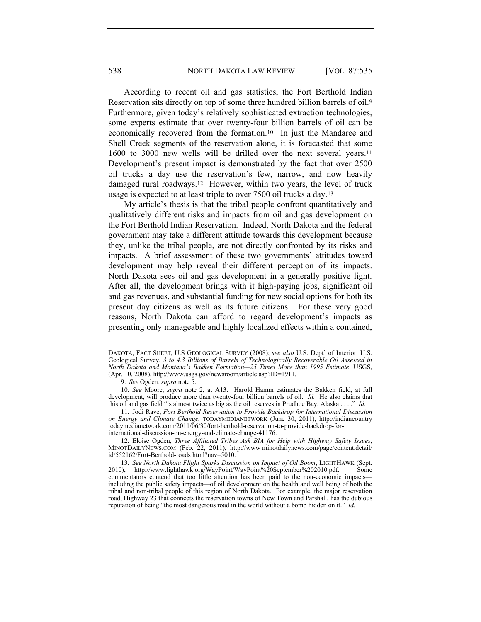According to recent oil and gas statistics, the Fort Berthold Indian Reservation sits directly on top of some three hundred billion barrels of oil.<sup>9</sup> Furthermore, given today's relatively sophisticated extraction technologies, some experts estimate that over twenty-four billion barrels of oil can be economically recovered from the formation.10 In just the Mandaree and Shell Creek segments of the reservation alone, it is forecasted that some 1600 to 3000 new wells will be drilled over the next several years.<sup>11</sup> Development's present impact is demonstrated by the fact that over 2500 oil trucks a day use the reservation's few, narrow, and now heavily damaged rural roadways.12 However, within two years, the level of truck usage is expected to at least triple to over 7500 oil trucks a day.<sup>13</sup>

My article's thesis is that the tribal people confront quantitatively and qualitatively different risks and impacts from oil and gas development on the Fort Berthold Indian Reservation. Indeed, North Dakota and the federal government may take a different attitude towards this development because they, unlike the tribal people, are not directly confronted by its risks and impacts. A brief assessment of these two governments' attitudes toward development may help reveal their different perception of its impacts. North Dakota sees oil and gas development in a generally positive light. After all, the development brings with it high-paying jobs, significant oil and gas revenues, and substantial funding for new social options for both its present day citizens as well as its future citizens. For these very good reasons, North Dakota can afford to regard development's impacts as presenting only manageable and highly localized effects within a contained,

9. *See* Ogden*, supra* note 5.

10. *See* Moore, *supra* note 2, at A13. Harold Hamm estimates the Bakken field, at full development, will produce more than twenty-four billion barrels of oil. *Id.* He also claims that this oil and gas field "is almost twice as big as the oil reserves in Prudhoe Bay, Alaska . . . ." *Id.*

11. Jodi Rave, *Fort Berthold Reservation to Provide Backdrop for International Discussion on Energy and Climate Change*, TODAYMEDIANETWORK (June 30, 2011), http://indiancountry todaymedianetwork.com/2011/06/30/fort-berthold-reservation-to-provide-backdrop-forinternational-discussion-on-energy-and-climate-change-41176.

12. Eloise Ogden, *Three Affiliated Tribes Ask BIA for Help with Highway Safety Issues*, MINOTDAILYNEWS.COM (Feb. 22, 2011), http://www.minotdailynews.com/page/content.detail/ id/552162/Fort-Berthold-roads html?nav=5010.

13. *See North Dakota Flight Sparks Discussion on Impact of Oil Boom*, LIGHTHAWK (Sept. 2010), http://www.lighthawk.org/WayPoint/WayPoint%20September%202010.pdf. Some commentators contend that too little attention has been paid to the non-economic impacts including the public safety impacts—of oil development on the health and well being of both the tribal and non-tribal people of this region of North Dakota. For example, the major reservation road, Highway 23 that connects the reservation towns of New Town and Parshall, has the dubious reputation of being "the most dangerous road in the world without a bomb hidden on it." *Id.*

DAKOTA, FACT SHEET, U.S GEOLOGICAL SURVEY (2008); *see also* U.S. Dept' of Interior, U.S. Geological Survey, *3 to 4.3 Billions of Barrels of Technologically Recoverable Oil Assessed in North Dakota and Montana's Bakken Formation—25 Times More than 1995 Estimate*, USGS, (Apr. 10, 2008), http://www.usgs.gov/newsroom/article.asp?ID=1911.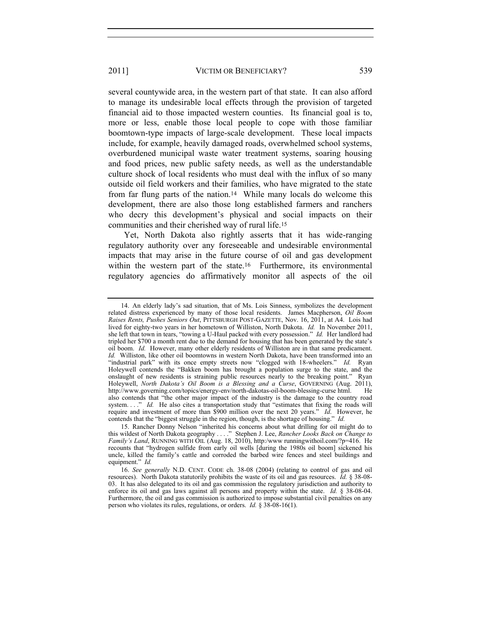several countywide area, in the western part of that state. It can also afford to manage its undesirable local effects through the provision of targeted financial aid to those impacted western counties. Its financial goal is to, more or less, enable those local people to cope with those familiar boomtown-type impacts of large-scale development. These local impacts include, for example, heavily damaged roads, overwhelmed school systems, overburdened municipal waste water treatment systems, soaring housing and food prices, new public safety needs, as well as the understandable culture shock of local residents who must deal with the influx of so many outside oil field workers and their families, who have migrated to the state from far flung parts of the nation.14 While many locals do welcome this development, there are also those long established farmers and ranchers who decry this development's physical and social impacts on their communities and their cherished way of rural life.<sup>15</sup>

Yet, North Dakota also rightly asserts that it has wide-ranging regulatory authority over any foreseeable and undesirable environmental impacts that may arise in the future course of oil and gas development within the western part of the state.<sup>16</sup> Furthermore, its environmental regulatory agencies do affirmatively monitor all aspects of the oil

<sup>14.</sup> An elderly lady's sad situation, that of Ms. Lois Sinness, symbolizes the development related distress experienced by many of those local residents. James Macpherson, *Oil Boom Raises Rents, Pushes Seniors Out*, PITTSBURGH POST-GAZETTE, Nov. 16, 2011, at A4. Lois had lived for eighty-two years in her hometown of Williston, North Dakota. *Id.* In November 2011, she left that town in tears, "towing a U-Haul packed with every possession." *Id.* Her landlord had tripled her \$700 a month rent due to the demand for housing that has been generated by the state's oil boom. *Id.* However, many other elderly residents of Williston are in that same predicament. *Id.* Williston, like other oil boomtowns in western North Dakota, have been transformed into an "industrial park" with its once empty streets now "clogged with 18-wheelers." *Id.* Ryan Holeywell contends the "Bakken boom has brought a population surge to the state, and the onslaught of new residents is straining public resources nearly to the breaking point." Ryan Holeywell, *North Dakota's Oil Boom is a Blessing and a Curse*, GOVERNING (Aug. 2011), http://www.governing.com/topics/energy-env/north-dakotas-oil-boom-blessing-curse html. He also contends that "the other major impact of the industry is the damage to the country road system. . . ." *Id.* He also cites a transportation study that "estimates that fixing the roads will require and investment of more than \$900 million over the next 20 years." *Id*. However, he contends that the "biggest struggle in the region, though, is the shortage of housing." *Id.*

<sup>15.</sup> Rancher Donny Nelson "inherited his concerns about what drilling for oil might do to this wildest of North Dakota geography . . . ." Stephen J. Lee, *Rancher Looks Back on Change to Family's Land*, RUNNING WITH OIL (Aug. 18, 2010), http:/www runningwithoil.com/?p=416. He recounts that "hydrogen sulfide from early oil wells [during the 1980s oil boom] sickened his uncle, killed the family's cattle and corroded the barbed wire fences and steel buildings and equipment." *Id.*

<sup>16.</sup> *See generally* N.D. CENT. CODE ch. 38-08 (2004) (relating to control of gas and oil resources). North Dakota statutorily prohibits the waste of its oil and gas resources. *Id.* § 38-08- 03. It has also delegated to its oil and gas commission the regulatory jurisdiction and authority to enforce its oil and gas laws against all persons and property within the state. *Id.* § 38-08-04. Furthermore, the oil and gas commission is authorized to impose substantial civil penalties on any person who violates its rules, regulations, or orders. *Id.* § 38-08-16(1).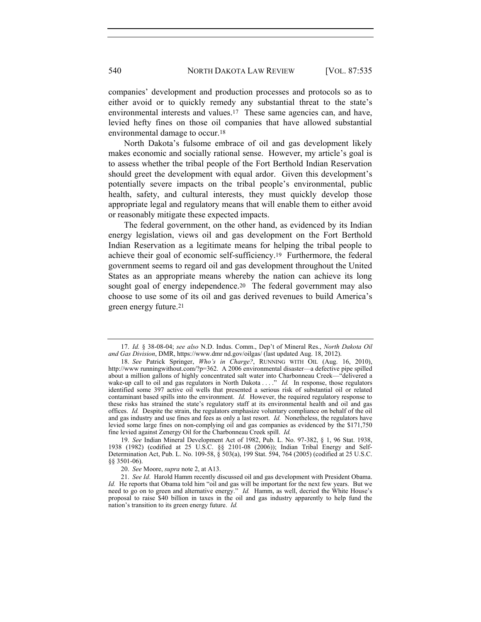companies' development and production processes and protocols so as to either avoid or to quickly remedy any substantial threat to the state's environmental interests and values.17 These same agencies can, and have, levied hefty fines on those oil companies that have allowed substantial environmental damage to occur.<sup>18</sup>

North Dakota's fulsome embrace of oil and gas development likely makes economic and socially rational sense. However, my article's goal is to assess whether the tribal people of the Fort Berthold Indian Reservation should greet the development with equal ardor. Given this development's potentially severe impacts on the tribal people's environmental, public health, safety, and cultural interests, they must quickly develop those appropriate legal and regulatory means that will enable them to either avoid or reasonably mitigate these expected impacts.

The federal government, on the other hand, as evidenced by its Indian energy legislation, views oil and gas development on the Fort Berthold Indian Reservation as a legitimate means for helping the tribal people to achieve their goal of economic self-sufficiency.19 Furthermore, the federal government seems to regard oil and gas development throughout the United States as an appropriate means whereby the nation can achieve its long sought goal of energy independence.<sup>20</sup> The federal government may also choose to use some of its oil and gas derived revenues to build America's green energy future.<sup>21</sup>

<sup>17.</sup> *Id.* § 38-08-04; *see also* N.D. Indus. Comm., Dep't of Mineral Res., *North Dakota Oil and Gas Division*, DMR, https://www.dmr nd.gov/oilgas/ (last updated Aug. 18, 2012).

<sup>18.</sup> *See* Patrick Springer, *Who's in Charge?*, RUNNING WITH OIL (Aug. 16, 2010), http://www runningwithout.com/?p=362. A 2006 environmental disaster—a defective pipe spilled about a million gallons of highly concentrated salt water into Charbonneau Creek—"delivered a wake-up call to oil and gas regulators in North Dakota . . . ." *Id.* In response, those regulators identified some 397 active oil wells that presented a serious risk of substantial oil or related contaminant based spills into the environment. *Id.* However, the required regulatory response to these risks has strained the state's regulatory staff at its environmental health and oil and gas offices. *Id.* Despite the strain, the regulators emphasize voluntary compliance on behalf of the oil and gas industry and use fines and fees as only a last resort. *Id.* Nonetheless, the regulators have levied some large fines on non-complying oil and gas companies as evidenced by the \$171,750 fine levied against Zenergy Oil for the Charbonneau Creek spill. *Id.* 

<sup>19.</sup> *See* Indian Mineral Development Act of 1982, Pub. L. No. 97-382, § 1, 96 Stat. 1938, 1938 (1982) (codified at 25 U.S.C. §§ 2101-08 (2006)); Indian Tribal Energy and Self-Determination Act, Pub. L. No. 109-58, § 503(a), 199 Stat. 594, 764 (2005) (codified at 25 U.S.C. §§ 3501-06).

<sup>20.</sup> *See* Moore, *supra* note 2, at A13.

<sup>21.</sup> *See Id*. Harold Hamm recently discussed oil and gas development with President Obama. *Id.* He reports that Obama told him "oil and gas will be important for the next few years. But we need to go on to green and alternative energy." *Id.* Hamm, as well, decried the White House's proposal to raise \$40 billion in taxes in the oil and gas industry apparently to help fund the nation's transition to its green energy future. *Id.*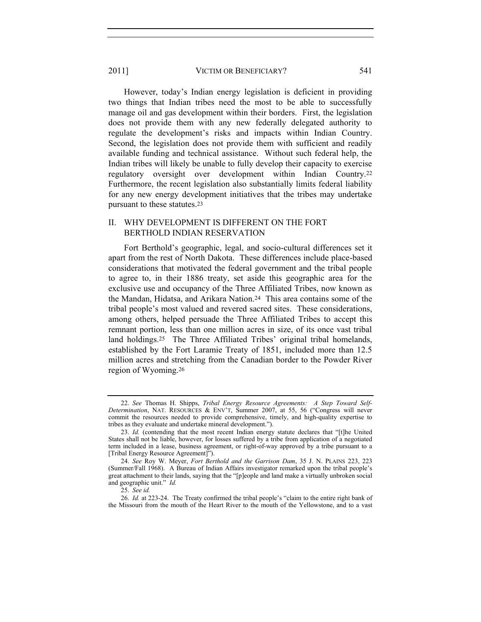However, today's Indian energy legislation is deficient in providing two things that Indian tribes need the most to be able to successfully manage oil and gas development within their borders. First, the legislation does not provide them with any new federally delegated authority to regulate the development's risks and impacts within Indian Country. Second, the legislation does not provide them with sufficient and readily available funding and technical assistance. Without such federal help, the Indian tribes will likely be unable to fully develop their capacity to exercise regulatory oversight over development within Indian Country.<sup>22</sup> Furthermore, the recent legislation also substantially limits federal liability for any new energy development initiatives that the tribes may undertake pursuant to these statutes.<sup>23</sup>

## II. WHY DEVELOPMENT IS DIFFERENT ON THE FORT BERTHOLD INDIAN RESERVATION

Fort Berthold's geographic, legal, and socio-cultural differences set it apart from the rest of North Dakota. These differences include place-based considerations that motivated the federal government and the tribal people to agree to, in their 1886 treaty, set aside this geographic area for the exclusive use and occupancy of the Three Affiliated Tribes, now known as the Mandan, Hidatsa, and Arikara Nation.24 This area contains some of the tribal people's most valued and revered sacred sites. These considerations, among others, helped persuade the Three Affiliated Tribes to accept this remnant portion, less than one million acres in size, of its once vast tribal land holdings.25 The Three Affiliated Tribes' original tribal homelands, established by the Fort Laramie Treaty of 1851, included more than 12.5 million acres and stretching from the Canadian border to the Powder River region of Wyoming.<sup>26</sup>

25. *See id.* 

26. *Id.* at 223-24. The Treaty confirmed the tribal people's "claim to the entire right bank of the Missouri from the mouth of the Heart River to the mouth of the Yellowstone, and to a vast

<sup>22.</sup> *See* Thomas H. Shipps, *Tribal Energy Resource Agreements: A Step Toward Self-Determination*, NAT. RESOURCES & ENV'T, Summer 2007, at 55, 56 ("Congress will never commit the resources needed to provide comprehensive, timely, and high-quality expertise to tribes as they evaluate and undertake mineral development.").

<sup>23.</sup> *Id.* (contending that the most recent Indian energy statute declares that "[t]he United States shall not be liable, however, for losses suffered by a tribe from application of a negotiated term included in a lease, business agreement, or right-of-way approved by a tribe pursuant to a [Tribal Energy Resource Agreement]").

<sup>24.</sup> *See* Roy W. Meyer, *Fort Berthold and the Garrison Dam*, 35 J. N. PLAINS 223, 223 (Summer/Fall 1968). A Bureau of Indian Affairs investigator remarked upon the tribal people's great attachment to their lands, saying that the "[p]eople and land make a virtually unbroken social and geographic unit." *Id.*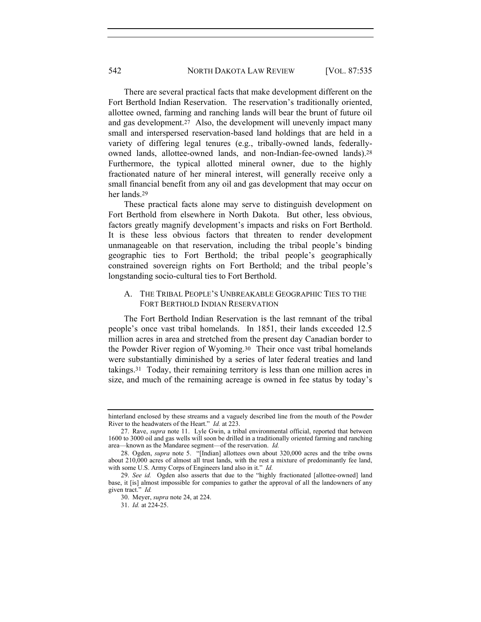There are several practical facts that make development different on the Fort Berthold Indian Reservation. The reservation's traditionally oriented, allottee owned, farming and ranching lands will bear the brunt of future oil and gas development.27 Also, the development will unevenly impact many small and interspersed reservation-based land holdings that are held in a variety of differing legal tenures (e.g., tribally-owned lands, federallyowned lands, allottee-owned lands, and non-Indian-fee-owned lands).<sup>28</sup> Furthermore, the typical allotted mineral owner, due to the highly fractionated nature of her mineral interest, will generally receive only a small financial benefit from any oil and gas development that may occur on her lands.<sup>29</sup>

These practical facts alone may serve to distinguish development on Fort Berthold from elsewhere in North Dakota. But other, less obvious, factors greatly magnify development's impacts and risks on Fort Berthold. It is these less obvious factors that threaten to render development unmanageable on that reservation, including the tribal people's binding geographic ties to Fort Berthold; the tribal people's geographically constrained sovereign rights on Fort Berthold; and the tribal people's longstanding socio-cultural ties to Fort Berthold.

#### A. THE TRIBAL PEOPLE'S UNBREAKABLE GEOGRAPHIC TIES TO THE FORT BERTHOLD INDIAN RESERVATION

The Fort Berthold Indian Reservation is the last remnant of the tribal people's once vast tribal homelands. In 1851, their lands exceeded 12.5 million acres in area and stretched from the present day Canadian border to the Powder River region of Wyoming.30 Their once vast tribal homelands were substantially diminished by a series of later federal treaties and land takings.31 Today, their remaining territory is less than one million acres in size, and much of the remaining acreage is owned in fee status by today's

hinterland enclosed by these streams and a vaguely described line from the mouth of the Powder River to the headwaters of the Heart." *Id.* at 223.

<sup>27.</sup> Rave, *supra* note 11. Lyle Gwin, a tribal environmental official, reported that between 1600 to 3000 oil and gas wells will soon be drilled in a traditionally oriented farming and ranching area—known as the Mandaree segment—of the reservation. *Id.*

<sup>28.</sup> Ogden, *supra* note 5. "[Indian] allottees own about 320,000 acres and the tribe owns about 210,000 acres of almost all trust lands, with the rest a mixture of predominantly fee land, with some U.S. Army Corps of Engineers land also in it." *Id.*

<sup>29.</sup> *See id.* Ogden also asserts that due to the "highly fractionated [allottee-owned] land base, it [is] almost impossible for companies to gather the approval of all the landowners of any given tract." *Id.*

<sup>30.</sup> Meyer, *supra* note 24, at 224.

<sup>31.</sup> *Id.* at 224-25.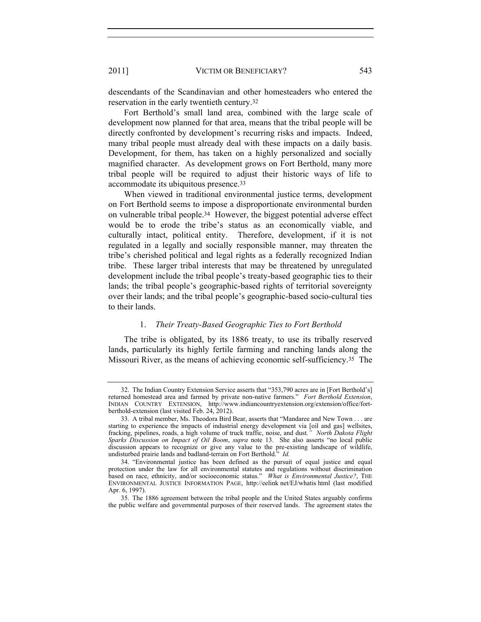descendants of the Scandinavian and other homesteaders who entered the reservation in the early twentieth century.<sup>32</sup>

Fort Berthold's small land area, combined with the large scale of development now planned for that area, means that the tribal people will be directly confronted by development's recurring risks and impacts. Indeed, many tribal people must already deal with these impacts on a daily basis. Development, for them, has taken on a highly personalized and socially magnified character. As development grows on Fort Berthold, many more tribal people will be required to adjust their historic ways of life to accommodate its ubiquitous presence.<sup>33</sup>

When viewed in traditional environmental justice terms, development on Fort Berthold seems to impose a disproportionate environmental burden on vulnerable tribal people.34 However, the biggest potential adverse effect would be to erode the tribe's status as an economically viable, and culturally intact, political entity. Therefore, development, if it is not regulated in a legally and socially responsible manner, may threaten the tribe's cherished political and legal rights as a federally recognized Indian tribe. These larger tribal interests that may be threatened by unregulated development include the tribal people's treaty-based geographic ties to their lands; the tribal people's geographic-based rights of territorial sovereignty over their lands; and the tribal people's geographic-based socio-cultural ties to their lands.

## 1. *Their Treaty-Based Geographic Ties to Fort Berthold*

The tribe is obligated, by its 1886 treaty, to use its tribally reserved lands, particularly its highly fertile farming and ranching lands along the Missouri River, as the means of achieving economic self-sufficiency.35 The

<sup>32.</sup> The Indian Country Extension Service asserts that "353,790 acres are in [Fort Berthold's] returned homestead area and farmed by private non-native farmers." *Fort Berthold Extension*, INDIAN COUNTRY EXTENSION, http://www.indiancountryextension.org/extension/office/fortberthold-extension (last visited Feb. 24, 2012).

<sup>33.</sup> A tribal member, Ms. Theodora Bird Bear, asserts that "Mandaree and New Town . . . are starting to experience the impacts of industrial energy development via [oil and gas] wellsites, fracking, pipelines, roads, a high volume of truck traffic, noise, and dust*." North Dakota Flight Sparks Discussion on Impact of Oil Boom*, *supra* note 13. She also asserts "no local public discussion appears to recognize or give any value to the pre-existing landscape of wildlife, undisturbed prairie lands and badland-terrain on Fort Berthold." *Id.*

<sup>34.</sup> "Environmental justice has been defined as the pursuit of equal justice and equal protection under the law for all environmental statutes and regulations without discrimination based on race, ethnicity, and/or socioeconomic status." *What is Environmental Justice?*, THE ENVIRONMENTAL JUSTICE INFORMATION PAGE, http://eelink net/EJ/whatis html (last modified Apr. 6, 1997).

<sup>35.</sup> The 1886 agreement between the tribal people and the United States arguably confirms the public welfare and governmental purposes of their reserved lands. The agreement states the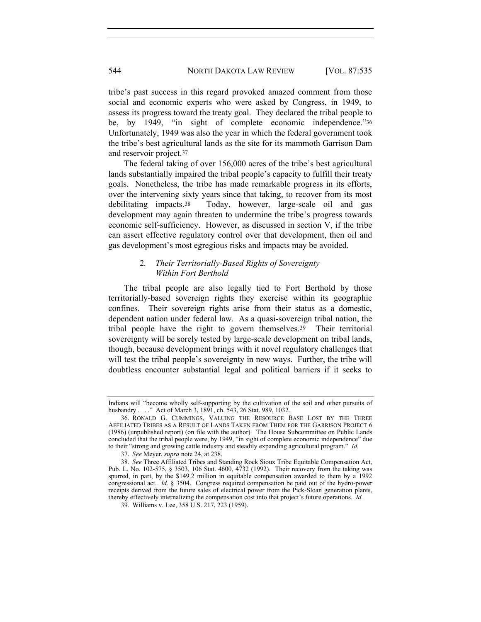tribe's past success in this regard provoked amazed comment from those social and economic experts who were asked by Congress, in 1949, to assess its progress toward the treaty goal. They declared the tribal people to be, by 1949, "in sight of complete economic independence."<sup>36</sup> Unfortunately, 1949 was also the year in which the federal government took the tribe's best agricultural lands as the site for its mammoth Garrison Dam and reservoir project.<sup>37</sup>

The federal taking of over 156,000 acres of the tribe's best agricultural lands substantially impaired the tribal people's capacity to fulfill their treaty goals. Nonetheless, the tribe has made remarkable progress in its efforts, over the intervening sixty years since that taking, to recover from its most debilitating impacts.38 Today, however, large-scale oil and gas development may again threaten to undermine the tribe's progress towards economic self-sufficiency. However, as discussed in section V, if the tribe can assert effective regulatory control over that development, then oil and gas development's most egregious risks and impacts may be avoided.

## 2*. Their Territorially-Based Rights of Sovereignty Within Fort Berthold*

The tribal people are also legally tied to Fort Berthold by those territorially-based sovereign rights they exercise within its geographic confines. Their sovereign rights arise from their status as a domestic, dependent nation under federal law. As a quasi-sovereign tribal nation, the tribal people have the right to govern themselves.39 Their territorial sovereignty will be sorely tested by large-scale development on tribal lands, though, because development brings with it novel regulatory challenges that will test the tribal people's sovereignty in new ways. Further, the tribe will doubtless encounter substantial legal and political barriers if it seeks to

Indians will "become wholly self-supporting by the cultivation of the soil and other pursuits of husbandry . . . ." Act of March 3, 1891, ch. 543, 26 Stat. 989, 1032.

<sup>36.</sup> RONALD G. CUMMINGS, VALUING THE RESOURCE BASE LOST BY THE THREE AFFILIATED TRIBES AS A RESULT OF LANDS TAKEN FROM THEM FOR THE GARRISON PROJECT 6 (1986) (unpublished report) (on file with the author). The House Subcommittee on Public Lands concluded that the tribal people were, by 1949, "in sight of complete economic independence" due to their "strong and growing cattle industry and steadily expanding agricultural program." *Id.*

<sup>37.</sup> *See* Meyer, *supra* note 24, at 238.

<sup>38.</sup> *See* Three Affiliated Tribes and Standing Rock Sioux Tribe Equitable Compensation Act, Pub. L. No. 102-575, § 3503, 106 Stat. 4600, 4732 (1992). Their recovery from the taking was spurred, in part, by the \$149.2 million in equitable compensation awarded to them by a 1992 congressional act. *Id.* § 3504. Congress required compensation be paid out of the hydro-power receipts derived from the future sales of electrical power from the Pick-Sloan generation plants, thereby effectively internalizing the compensation cost into that project's future operations. *Id.*

<sup>39.</sup> Williams v. Lee, 358 U.S. 217, 223 (1959).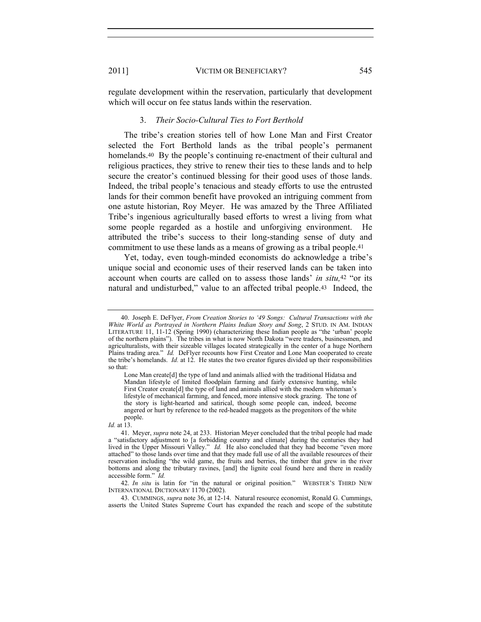regulate development within the reservation, particularly that development which will occur on fee status lands within the reservation.

#### 3. *Their Socio-Cultural Ties to Fort Berthold*

The tribe's creation stories tell of how Lone Man and First Creator selected the Fort Berthold lands as the tribal people's permanent homelands.<sup>40</sup> By the people's continuing re-enactment of their cultural and religious practices, they strive to renew their ties to these lands and to help secure the creator's continued blessing for their good uses of those lands. Indeed, the tribal people's tenacious and steady efforts to use the entrusted lands for their common benefit have provoked an intriguing comment from one astute historian, Roy Meyer. He was amazed by the Three Affiliated Tribe's ingenious agriculturally based efforts to wrest a living from what some people regarded as a hostile and unforgiving environment. He attributed the tribe's success to their long-standing sense of duty and commitment to use these lands as a means of growing as a tribal people.<sup>41</sup>

Yet, today, even tough-minded economists do acknowledge a tribe's unique social and economic uses of their reserved lands can be taken into account when courts are called on to assess those lands' *in situ,*<sup>42</sup> "or its natural and undisturbed," value to an affected tribal people.43 Indeed, the

Lone Man create[d] the type of land and animals allied with the traditional Hidatsa and Mandan lifestyle of limited floodplain farming and fairly extensive hunting, while First Creator create<sup>[d]</sup> the type of land and animals allied with the modern whiteman's lifestyle of mechanical farming, and fenced, more intensive stock grazing. The tone of the story is light-hearted and satirical, though some people can, indeed, become angered or hurt by reference to the red-headed maggots as the progenitors of the white people.

*Id.* at 13.

42. *In situ* is latin for "in the natural or original position." WEBSTER'S THIRD NEW INTERNATIONAL DICTIONARY 1170 (2002).

43. CUMMINGS, *supra* note 36, at 12-14. Natural resource economist, Ronald G. Cummings, asserts the United States Supreme Court has expanded the reach and scope of the substitute

<sup>40.</sup> Joseph E. DeFlyer, *From Creation Stories to '49 Songs: Cultural Transactions with the White World as Portrayed in Northern Plains Indian Story and Song*, 2 STUD. IN AM. INDIAN LITERATURE 11, 11-12 (Spring 1990) (characterizing these Indian people as "the 'urban' people of the northern plains"). The tribes in what is now North Dakota "were traders, businessmen, and agriculturalists, with their sizeable villages located strategically in the center of a huge Northern Plains trading area." *Id.* DeFlyer recounts how First Creator and Lone Man cooperated to create the tribe's homelands. *Id.* at 12. He states the two creator figures divided up their responsibilities so that:

<sup>41.</sup> Meyer, *supra* note 24, at 233. Historian Meyer concluded that the tribal people had made a "satisfactory adjustment to [a forbidding country and climate] during the centuries they had lived in the Upper Missouri Valley." *Id.* He also concluded that they had become "even more attached" to those lands over time and that they made full use of all the available resources of their reservation including "the wild game, the fruits and berries, the timber that grew in the river bottoms and along the tributary ravines, [and] the lignite coal found here and there in readily accessible form." *Id.*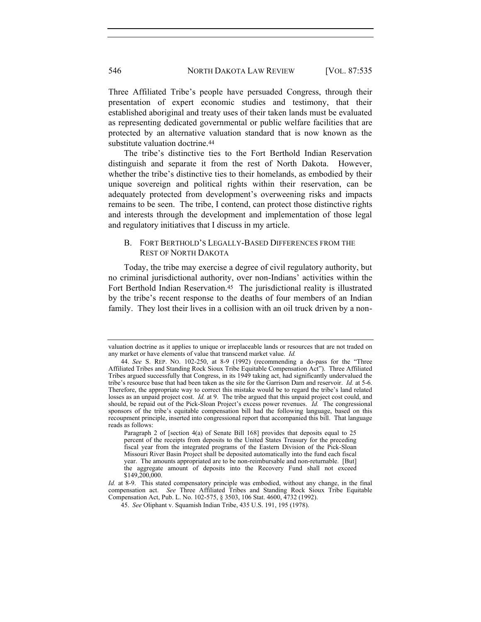Three Affiliated Tribe's people have persuaded Congress, through their presentation of expert economic studies and testimony, that their established aboriginal and treaty uses of their taken lands must be evaluated as representing dedicated governmental or public welfare facilities that are protected by an alternative valuation standard that is now known as the substitute valuation doctrine.<sup>44</sup>

The tribe's distinctive ties to the Fort Berthold Indian Reservation distinguish and separate it from the rest of North Dakota. However, whether the tribe's distinctive ties to their homelands, as embodied by their unique sovereign and political rights within their reservation, can be adequately protected from development's overweening risks and impacts remains to be seen. The tribe, I contend, can protect those distinctive rights and interests through the development and implementation of those legal and regulatory initiatives that I discuss in my article.

### B. FORT BERTHOLD'S LEGALLY-BASED DIFFERENCES FROM THE REST OF NORTH DAKOTA

Today, the tribe may exercise a degree of civil regulatory authority, but no criminal jurisdictional authority, over non-Indians' activities within the Fort Berthold Indian Reservation.<sup>45</sup> The jurisdictional reality is illustrated by the tribe's recent response to the deaths of four members of an Indian family. They lost their lives in a collision with an oil truck driven by a non-

valuation doctrine as it applies to unique or irreplaceable lands or resources that are not traded on any market or have elements of value that transcend market value. *Id.*

<sup>44.</sup> *See* S. REP. NO. 102-250, at 8-9 (1992) (recommending a do-pass for the "Three Affiliated Tribes and Standing Rock Sioux Tribe Equitable Compensation Act"). Three Affiliated Tribes argued successfully that Congress, in its 1949 taking act, had significantly undervalued the tribe's resource base that had been taken as the site for the Garrison Dam and reservoir. *Id.* at 5-6. Therefore, the appropriate way to correct this mistake would be to regard the tribe's land related losses as an unpaid project cost. *Id.* at 9. The tribe argued that this unpaid project cost could, and should, be repaid out of the Pick-Sloan Project's excess power revenues. *Id.* The congressional sponsors of the tribe's equitable compensation bill had the following language, based on this recoupment principle, inserted into congressional report that accompanied this bill. That language reads as follows:

Paragraph 2 of [section 4(a) of Senate Bill 168] provides that deposits equal to 25 percent of the receipts from deposits to the United States Treasury for the preceding fiscal year from the integrated programs of the Eastern Division of the Pick-Sloan Missouri River Basin Project shall be deposited automatically into the fund each fiscal year. The amounts appropriated are to be non-reimbursable and non-returnable. [But] the aggregate amount of deposits into the Recovery Fund shall not exceed \$149,200,000.

*Id.* at 8-9. This stated compensatory principle was embodied, without any change, in the final compensation act. *See* Three Affiliated Tribes and Standing Rock Sioux Tribe Equitable Compensation Act, Pub. L. No. 102-575, § 3503, 106 Stat. 4600, 4732 (1992).

<sup>45.</sup> *See* Oliphant v. Squamish Indian Tribe, 435 U.S. 191, 195 (1978).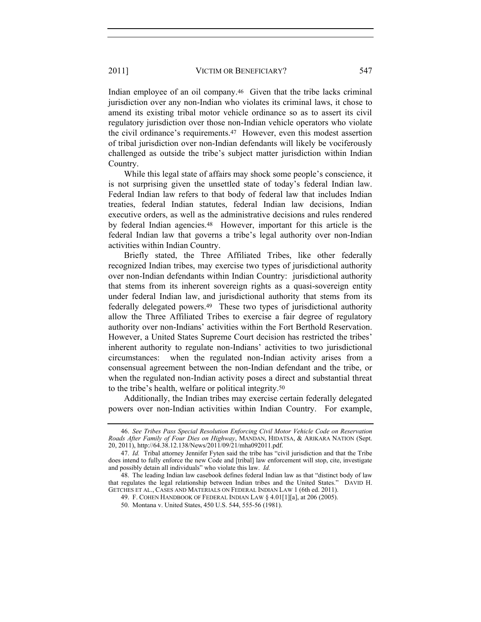Indian employee of an oil company.46 Given that the tribe lacks criminal jurisdiction over any non-Indian who violates its criminal laws, it chose to amend its existing tribal motor vehicle ordinance so as to assert its civil regulatory jurisdiction over those non-Indian vehicle operators who violate the civil ordinance's requirements.47 However, even this modest assertion of tribal jurisdiction over non-Indian defendants will likely be vociferously challenged as outside the tribe's subject matter jurisdiction within Indian Country.

While this legal state of affairs may shock some people's conscience, it is not surprising given the unsettled state of today's federal Indian law. Federal Indian law refers to that body of federal law that includes Indian treaties, federal Indian statutes, federal Indian law decisions, Indian executive orders, as well as the administrative decisions and rules rendered by federal Indian agencies.48 However, important for this article is the federal Indian law that governs a tribe's legal authority over non-Indian activities within Indian Country.

Briefly stated, the Three Affiliated Tribes, like other federally recognized Indian tribes, may exercise two types of jurisdictional authority over non-Indian defendants within Indian Country: jurisdictional authority that stems from its inherent sovereign rights as a quasi-sovereign entity under federal Indian law, and jurisdictional authority that stems from its federally delegated powers.49 These two types of jurisdictional authority allow the Three Affiliated Tribes to exercise a fair degree of regulatory authority over non-Indians' activities within the Fort Berthold Reservation. However, a United States Supreme Court decision has restricted the tribes' inherent authority to regulate non-Indians' activities to two jurisdictional circumstances: when the regulated non-Indian activity arises from a consensual agreement between the non-Indian defendant and the tribe, or when the regulated non-Indian activity poses a direct and substantial threat to the tribe's health, welfare or political integrity.<sup>50</sup>

Additionally, the Indian tribes may exercise certain federally delegated powers over non-Indian activities within Indian Country. For example,

<sup>46.</sup> *See Tribes Pass Special Resolution Enforcing Civil Motor Vehicle Code on Reservation Roads After Family of Four Dies on Highway*, MANDAN, HIDATSA, & ARIKARA NATION (Sept. 20, 2011), http://64.38.12.138/News/2011/09/21/mha092011.pdf.

<sup>47.</sup> *Id.* Tribal attorney Jennifer Fyten said the tribe has "civil jurisdiction and that the Tribe does intend to fully enforce the new Code and [tribal] law enforcement will stop, cite, investigate and possibly detain all individuals" who violate this law. *Id.*

<sup>48.</sup> The leading Indian law casebook defines federal Indian law as that "distinct body of law that regulates the legal relationship between Indian tribes and the United States." DAVID H. GETCHES ET AL., CASES AND MATERIALS ON FEDERAL INDIAN LAW 1 (6th ed. 2011).

<sup>49.</sup> F. COHEN HANDBOOK OF FEDERAL INDIAN LAW § 4.01[1][a], at 206 (2005).

<sup>50.</sup> Montana v. United States, 450 U.S. 544, 555-56 (1981).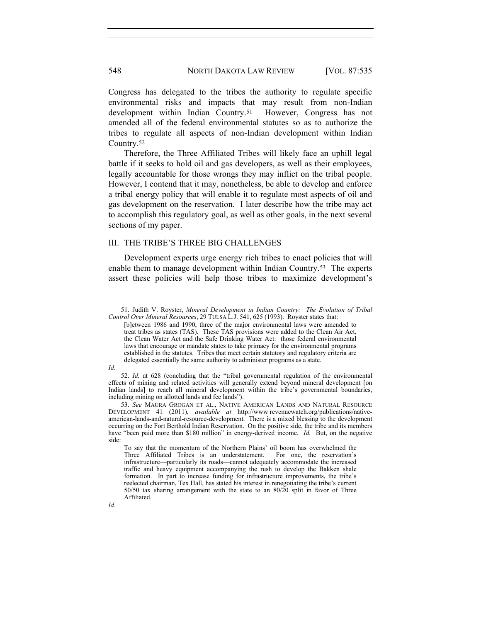Congress has delegated to the tribes the authority to regulate specific environmental risks and impacts that may result from non-Indian development within Indian Country.51 However, Congress has not amended all of the federal environmental statutes so as to authorize the tribes to regulate all aspects of non-Indian development within Indian Country.<sup>52</sup>

Therefore, the Three Affiliated Tribes will likely face an uphill legal battle if it seeks to hold oil and gas developers, as well as their employees, legally accountable for those wrongs they may inflict on the tribal people. However, I contend that it may, nonetheless, be able to develop and enforce a tribal energy policy that will enable it to regulate most aspects of oil and gas development on the reservation. I later describe how the tribe may act to accomplish this regulatory goal, as well as other goals, in the next several sections of my paper.

### III. THE TRIBE'S THREE BIG CHALLENGES

Development experts urge energy rich tribes to enact policies that will enable them to manage development within Indian Country.53 The experts assert these policies will help those tribes to maximize development's

*Id.*

52. *Id.* at 628 (concluding that the "tribal governmental regulation of the environmental effects of mining and related activities will generally extend beyond mineral development [on Indian lands] to reach all mineral development within the tribe's governmental boundaries, including mining on allotted lands and fee lands").

<sup>51.</sup> Judith V. Royster, *Mineral Development in Indian Country: The Evolution of Tribal Control Over Mineral Resources*, 29 TULSA L.J. 541, 625 (1993). Royster states that:

<sup>[</sup>b]etween 1986 and 1990, three of the major environmental laws were amended to treat tribes as states (TAS). These TAS provisions were added to the Clean Air Act, the Clean Water Act and the Safe Drinking Water Act: those federal environmental laws that encourage or mandate states to take primacy for the environmental programs established in the statutes. Tribes that meet certain statutory and regulatory criteria are delegated essentially the same authority to administer programs as a state.

<sup>53.</sup> *See* MAURA GROGAN ET AL., NATIVE AMERICAN LANDS AND NATURAL RESOURCE DEVELOPMENT 41 (2011), *available at* http://www revenuewatch.org/publications/nativeamerican-lands-and-natural-resource-development. There is a mixed blessing to the development occurring on the Fort Berthold Indian Reservation. On the positive side, the tribe and its members have "been paid more than \$180 million" in energy-derived income. *Id.* But, on the negative side:

To say that the momentum of the Northern Plains' oil boom has overwhelmed the Three Affiliated Tribes is an understatement. infrastructure—particularly its roads—cannot adequately accommodate the increased traffic and heavy equipment accompanying the rush to develop the Bakken shale formation. In part to increase funding for infrastructure improvements, the tribe's reelected chairman, Tex Hall, has stated his interest in renegotiating the tribe's current 50/50 tax sharing arrangement with the state to an 80/20 split in favor of Three Affiliated.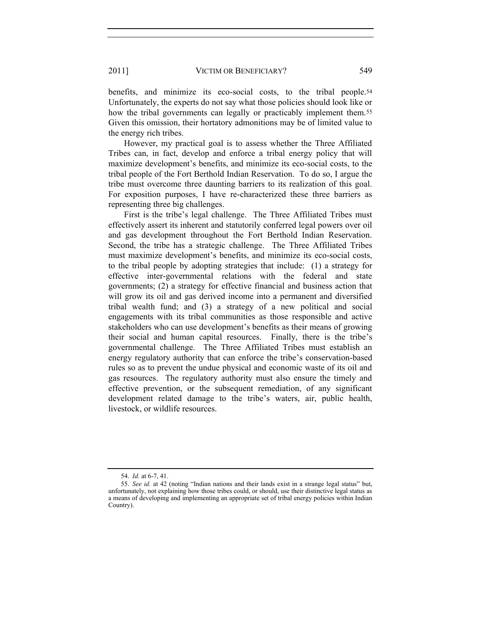benefits, and minimize its eco-social costs, to the tribal people.<sup>54</sup> Unfortunately, the experts do not say what those policies should look like or how the tribal governments can legally or practicably implement them.<sup>55</sup> Given this omission, their hortatory admonitions may be of limited value to the energy rich tribes.

However, my practical goal is to assess whether the Three Affiliated Tribes can, in fact, develop and enforce a tribal energy policy that will maximize development's benefits, and minimize its eco-social costs, to the tribal people of the Fort Berthold Indian Reservation. To do so, I argue the tribe must overcome three daunting barriers to its realization of this goal. For exposition purposes, I have re-characterized these three barriers as representing three big challenges.

First is the tribe's legal challenge. The Three Affiliated Tribes must effectively assert its inherent and statutorily conferred legal powers over oil and gas development throughout the Fort Berthold Indian Reservation. Second, the tribe has a strategic challenge. The Three Affiliated Tribes must maximize development's benefits, and minimize its eco-social costs, to the tribal people by adopting strategies that include: (1) a strategy for effective inter-governmental relations with the federal and state governments; (2) a strategy for effective financial and business action that will grow its oil and gas derived income into a permanent and diversified tribal wealth fund; and (3) a strategy of a new political and social engagements with its tribal communities as those responsible and active stakeholders who can use development's benefits as their means of growing their social and human capital resources. Finally, there is the tribe's governmental challenge. The Three Affiliated Tribes must establish an energy regulatory authority that can enforce the tribe's conservation-based rules so as to prevent the undue physical and economic waste of its oil and gas resources. The regulatory authority must also ensure the timely and effective prevention, or the subsequent remediation, of any significant development related damage to the tribe's waters, air, public health, livestock, or wildlife resources.

<sup>54.</sup> *Id.* at 6-7, 41.

<sup>55.</sup> *See id.* at 42 (noting "Indian nations and their lands exist in a strange legal status" but, unfortunately, not explaining how those tribes could, or should, use their distinctive legal status as a means of developing and implementing an appropriate set of tribal energy policies within Indian Country).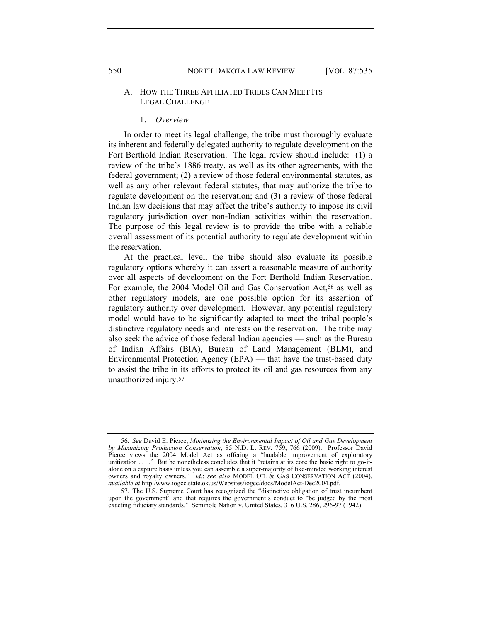#### A. HOW THE THREE AFFILIATED TRIBES CAN MEET ITS LEGAL CHALLENGE

#### 1. *Overview*

In order to meet its legal challenge, the tribe must thoroughly evaluate its inherent and federally delegated authority to regulate development on the Fort Berthold Indian Reservation. The legal review should include: (1) a review of the tribe's 1886 treaty, as well as its other agreements, with the federal government; (2) a review of those federal environmental statutes, as well as any other relevant federal statutes, that may authorize the tribe to regulate development on the reservation; and (3) a review of those federal Indian law decisions that may affect the tribe's authority to impose its civil regulatory jurisdiction over non-Indian activities within the reservation. The purpose of this legal review is to provide the tribe with a reliable overall assessment of its potential authority to regulate development within the reservation.

At the practical level, the tribe should also evaluate its possible regulatory options whereby it can assert a reasonable measure of authority over all aspects of development on the Fort Berthold Indian Reservation. For example, the 2004 Model Oil and Gas Conservation Act,<sup>56</sup> as well as other regulatory models, are one possible option for its assertion of regulatory authority over development. However, any potential regulatory model would have to be significantly adapted to meet the tribal people's distinctive regulatory needs and interests on the reservation. The tribe may also seek the advice of those federal Indian agencies — such as the Bureau of Indian Affairs (BIA), Bureau of Land Management (BLM), and Environmental Protection Agency (EPA) — that have the trust-based duty to assist the tribe in its efforts to protect its oil and gas resources from any unauthorized injury.<sup>57</sup>

<sup>56.</sup> *See* David E. Pierce, *Minimizing the Environmental Impact of Oil and Gas Development by Maximizing Production Conservation*, 85 N.D. L. REV. 759, 766 (2009). Professor David Pierce views the 2004 Model Act as offering a "laudable improvement of exploratory unitization . . . ." But he nonetheless concludes that it "retains at its core the basic right to go-italone on a capture basis unless you can assemble a super-majority of like-minded working interest owners and royalty owners." *Id.*; *see also* MODEL OIL & GAS CONSERVATION ACT (2004), *available at* http:/www.iogcc.state.ok.us/Websites/iogcc/docs/ModelAct-Dec2004.pdf.

<sup>57.</sup> The U.S. Supreme Court has recognized the "distinctive obligation of trust incumbent upon the government<sup>3</sup> and that requires the government's conduct to "be judged by the most exacting fiduciary standards." Seminole Nation v. United States, 316 U.S. 286, 296-97 (1942).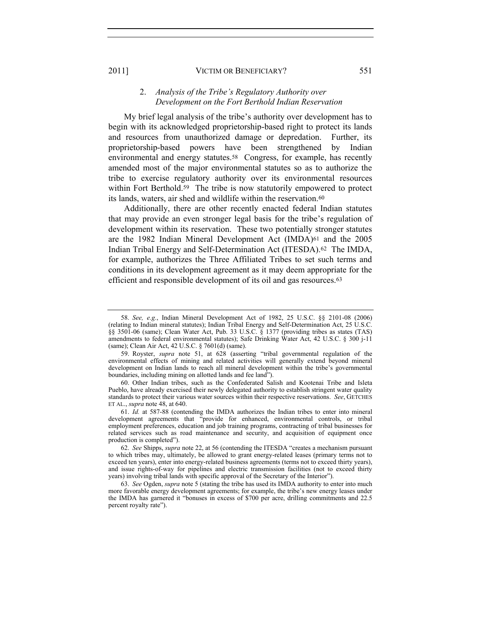#### 2. *Analysis of the Tribe's Regulatory Authority over Development on the Fort Berthold Indian Reservation*

My brief legal analysis of the tribe's authority over development has to begin with its acknowledged proprietorship-based right to protect its lands and resources from unauthorized damage or depredation. Further, its proprietorship-based powers have been strengthened by Indian environmental and energy statutes.<sup>58</sup> Congress, for example, has recently amended most of the major environmental statutes so as to authorize the tribe to exercise regulatory authority over its environmental resources within Fort Berthold.<sup>59</sup> The tribe is now statutorily empowered to protect its lands, waters, air shed and wildlife within the reservation.<sup>60</sup>

Additionally, there are other recently enacted federal Indian statutes that may provide an even stronger legal basis for the tribe's regulation of development within its reservation. These two potentially stronger statutes are the 1982 Indian Mineral Development Act (IMDA)61 and the 2005 Indian Tribal Energy and Self-Determination Act (ITESDA).62 The IMDA, for example, authorizes the Three Affiliated Tribes to set such terms and conditions in its development agreement as it may deem appropriate for the efficient and responsible development of its oil and gas resources.<sup>63</sup>

<sup>58.</sup> *See, e.g.*, Indian Mineral Development Act of 1982, 25 U.S.C. §§ 2101-08 (2006) (relating to Indian mineral statutes); Indian Tribal Energy and Self-Determination Act, 25 U.S.C. §§ 3501-06 (same); Clean Water Act, Pub. 33 U.S.C. § 1377 (providing tribes as states (TAS) amendments to federal environmental statutes); Safe Drinking Water Act, 42 U.S.C. § 300 j-11 (same); Clean Air Act, 42 U.S.C. § 7601(d) (same).

<sup>59.</sup> Royster, *supra* note 51, at 628 (asserting "tribal governmental regulation of the environmental effects of mining and related activities will generally extend beyond mineral development on Indian lands to reach all mineral development within the tribe's governmental boundaries, including mining on allotted lands and fee land").

<sup>60.</sup> Other Indian tribes, such as the Confederated Salish and Kootenai Tribe and Isleta Pueblo, have already exercised their newly delegated authority to establish stringent water quality standards to protect their various water sources within their respective reservations. *See*, GETCHES ET AL., *supra* note 48, at 640.

<sup>61.</sup> *Id.* at 587-88 (contending the IMDA authorizes the Indian tribes to enter into mineral development agreements that "provide for enhanced, environmental controls, or tribal employment preferences, education and job training programs, contracting of tribal businesses for related services such as road maintenance and security, and acquisition of equipment once production is completed").

<sup>62.</sup> *See* Shipps, *supra* note 22, at 56 (contending the ITESDA "creates a mechanism pursuant to which tribes may, ultimately, be allowed to grant energy-related leases (primary terms not to exceed ten years), enter into energy-related business agreements (terms not to exceed thirty years), and issue rights-of-way for pipelines and electric transmission facilities (not to exceed thirty years) involving tribal lands with specific approval of the Secretary of the Interior").

<sup>63.</sup> *See* Ogden, *supra* note 5 (stating the tribe has used its IMDA authority to enter into much more favorable energy development agreements; for example, the tribe's new energy leases under the IMDA has garnered it "bonuses in excess of \$700 per acre, drilling commitments and 22.5 percent royalty rate").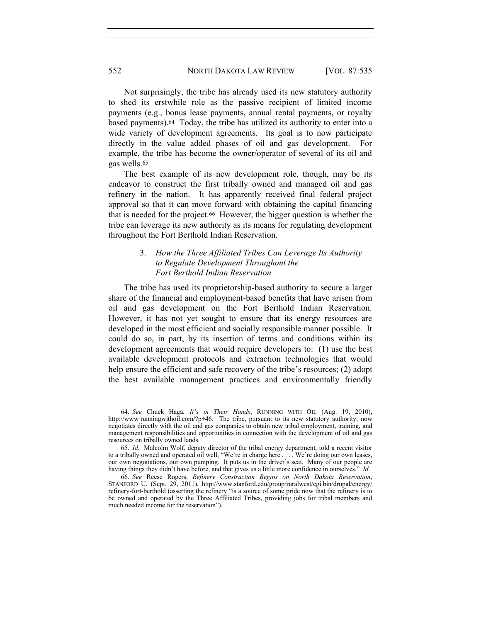Not surprisingly, the tribe has already used its new statutory authority to shed its erstwhile role as the passive recipient of limited income payments (e.g., bonus lease payments, annual rental payments, or royalty based payments).64 Today, the tribe has utilized its authority to enter into a wide variety of development agreements. Its goal is to now participate directly in the value added phases of oil and gas development. For example, the tribe has become the owner/operator of several of its oil and gas wells.<sup>65</sup>

The best example of its new development role, though, may be its endeavor to construct the first tribally owned and managed oil and gas refinery in the nation. It has apparently received final federal project approval so that it can move forward with obtaining the capital financing that is needed for the project.66 However, the bigger question is whether the tribe can leverage its new authority as its means for regulating development throughout the Fort Berthold Indian Reservation.

## 3. *How the Three Affiliated Tribes Can Leverage Its Authority to Regulate Development Throughout the Fort Berthold Indian Reservation*

The tribe has used its proprietorship-based authority to secure a larger share of the financial and employment-based benefits that have arisen from oil and gas development on the Fort Berthold Indian Reservation. However, it has not yet sought to ensure that its energy resources are developed in the most efficient and socially responsible manner possible. It could do so, in part, by its insertion of terms and conditions within its development agreements that would require developers to: (1) use the best available development protocols and extraction technologies that would help ensure the efficient and safe recovery of the tribe's resources; (2) adopt the best available management practices and environmentally friendly

<sup>64.</sup> *See* Chuck Haga, *It's in Their Hands*, RUNNING WITH OIL (Aug. 19, 2010), http://www runningwithoil.com/?p+46. The tribe, pursuant to its new statutory authority, now negotiates directly with the oil and gas companies to obtain new tribal employment, training, and management responsibilities and opportunities in connection with the development of oil and gas resources on tribally owned lands.

<sup>65.</sup> *Id.* Malcolm Wolf, deputy director of the tribal energy department, told a recent visitor to a tribally owned and operated oil well, "We're in charge here . . . . We're doing our own leases, our own negotiations, our own pumping. It puts us in the driver's seat. Many of our people are having things they didn't have before, and that gives us a little more confidence in ourselves." *Id.*

<sup>66.</sup> *See* Reese Rogers, *Refinery Construction Begins on North Dakota Reservation*, STANFORD U. (Sept. 29, 2011), http://www.stanford.edu/group/ruralwest/cgi.bin/drupal/energy/ refinery-fort-berthold (asserting the refinery "is a source of some pride now that the refinery is to be owned and operated by the Three Affiliated Tribes, providing jobs for tribal members and much needed income for the reservation").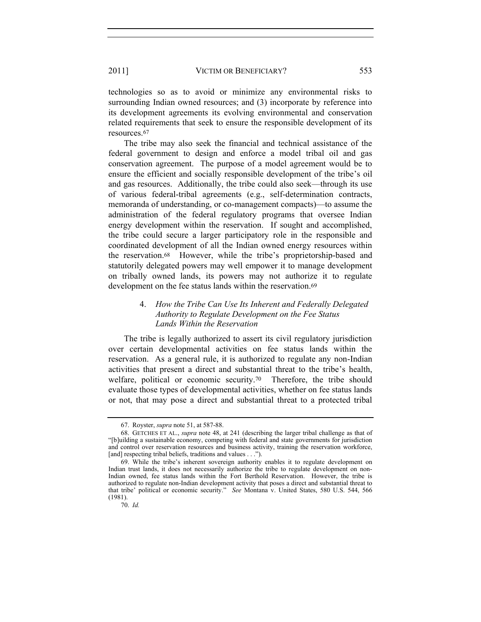technologies so as to avoid or minimize any environmental risks to surrounding Indian owned resources; and (3) incorporate by reference into its development agreements its evolving environmental and conservation related requirements that seek to ensure the responsible development of its resources.<sup>67</sup>

The tribe may also seek the financial and technical assistance of the federal government to design and enforce a model tribal oil and gas conservation agreement. The purpose of a model agreement would be to ensure the efficient and socially responsible development of the tribe's oil and gas resources. Additionally, the tribe could also seek—through its use of various federal-tribal agreements (e.g., self-determination contracts, memoranda of understanding, or co-management compacts)—to assume the administration of the federal regulatory programs that oversee Indian energy development within the reservation. If sought and accomplished, the tribe could secure a larger participatory role in the responsible and coordinated development of all the Indian owned energy resources within the reservation.68 However, while the tribe's proprietorship-based and statutorily delegated powers may well empower it to manage development on tribally owned lands, its powers may not authorize it to regulate development on the fee status lands within the reservation.<sup>69</sup>

# 4. *How the Tribe Can Use Its Inherent and Federally Delegated Authority to Regulate Development on the Fee Status Lands Within the Reservation*

The tribe is legally authorized to assert its civil regulatory jurisdiction over certain developmental activities on fee status lands within the reservation. As a general rule, it is authorized to regulate any non-Indian activities that present a direct and substantial threat to the tribe's health, welfare, political or economic security.<sup>70</sup> Therefore, the tribe should evaluate those types of developmental activities, whether on fee status lands or not, that may pose a direct and substantial threat to a protected tribal

<sup>67.</sup> Royster, *supra* note 51, at 587-88.

<sup>68.</sup> GETCHES ET AL., *supra* note 48, at 241 (describing the larger tribal challenge as that of "[b]uilding a sustainable economy, competing with federal and state governments for jurisdiction and control over reservation resources and business activity, training the reservation workforce, [and] respecting tribal beliefs, traditions and values . . .").

<sup>69.</sup> While the tribe's inherent sovereign authority enables it to regulate development on Indian trust lands, it does not necessarily authorize the tribe to regulate development on non-Indian owned, fee status lands within the Fort Berthold Reservation. However, the tribe is authorized to regulate non-Indian development activity that poses a direct and substantial threat to that tribe' political or economic security." *See* Montana v. United States, 580 U.S. 544, 566 (1981).

<sup>70.</sup> *Id.*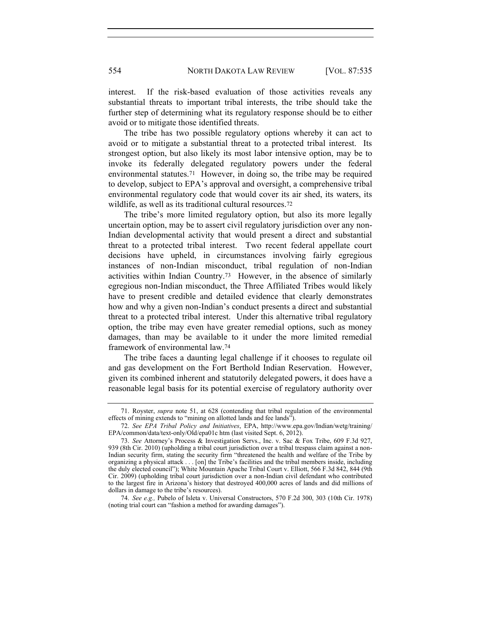interest. If the risk-based evaluation of those activities reveals any substantial threats to important tribal interests, the tribe should take the further step of determining what its regulatory response should be to either avoid or to mitigate those identified threats.

The tribe has two possible regulatory options whereby it can act to avoid or to mitigate a substantial threat to a protected tribal interest. Its strongest option, but also likely its most labor intensive option, may be to invoke its federally delegated regulatory powers under the federal environmental statutes.71 However, in doing so, the tribe may be required to develop, subject to EPA's approval and oversight, a comprehensive tribal environmental regulatory code that would cover its air shed, its waters, its wildlife, as well as its traditional cultural resources.<sup>72</sup>

The tribe's more limited regulatory option, but also its more legally uncertain option, may be to assert civil regulatory jurisdiction over any non-Indian developmental activity that would present a direct and substantial threat to a protected tribal interest. Two recent federal appellate court decisions have upheld, in circumstances involving fairly egregious instances of non-Indian misconduct, tribal regulation of non-Indian activities within Indian Country.73 However, in the absence of similarly egregious non-Indian misconduct, the Three Affiliated Tribes would likely have to present credible and detailed evidence that clearly demonstrates how and why a given non-Indian's conduct presents a direct and substantial threat to a protected tribal interest. Under this alternative tribal regulatory option, the tribe may even have greater remedial options, such as money damages, than may be available to it under the more limited remedial framework of environmental law.<sup>74</sup>

The tribe faces a daunting legal challenge if it chooses to regulate oil and gas development on the Fort Berthold Indian Reservation. However, given its combined inherent and statutorily delegated powers, it does have a reasonable legal basis for its potential exercise of regulatory authority over

<sup>71.</sup> Royster, *supra* note 51, at 628 (contending that tribal regulation of the environmental effects of mining extends to "mining on allotted lands and fee lands").

<sup>72.</sup> *See EPA Tribal Policy and Initiatives*, EPA, http://www.epa.gov/Indian/wetg/training/ EPA/common/data/text-only/Old/epa01c htm (last visited Sept. 6, 2012).

<sup>73.</sup> *See* Attorney's Process & Investigation Servs., Inc. v. Sac & Fox Tribe, 609 F.3d 927, 939 (8th Cir. 2010) (upholding a tribal court jurisdiction over a tribal trespass claim against a non-Indian security firm, stating the security firm "threatened the health and welfare of the Tribe by organizing a physical attack . . . [on] the Tribe's facilities and the tribal members inside, including the duly elected council"); White Mountain Apache Tribal Court v. Elliott, 566 F.3d 842, 844 (9th Cir. 2009) (upholding tribal court jurisdiction over a non-Indian civil defendant who contributed to the largest fire in Arizona's history that destroyed 400,000 acres of lands and did millions of dollars in damage to the tribe's resources).

<sup>74.</sup> *See e.g.,* Pubelo of Isleta v. Universal Constructors, 570 F.2d 300, 303 (10th Cir. 1978) (noting trial court can "fashion a method for awarding damages").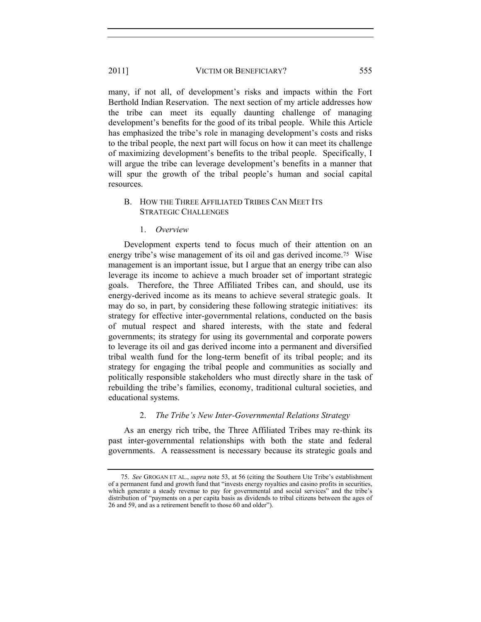many, if not all, of development's risks and impacts within the Fort Berthold Indian Reservation. The next section of my article addresses how the tribe can meet its equally daunting challenge of managing development's benefits for the good of its tribal people. While this Article has emphasized the tribe's role in managing development's costs and risks to the tribal people, the next part will focus on how it can meet its challenge of maximizing development's benefits to the tribal people. Specifically, I will argue the tribe can leverage development's benefits in a manner that will spur the growth of the tribal people's human and social capital resources.

## B. HOW THE THREE AFFILIATED TRIBES CAN MEET ITS STRATEGIC CHALLENGES

1. *Overview* 

Development experts tend to focus much of their attention on an energy tribe's wise management of its oil and gas derived income.75 Wise management is an important issue, but I argue that an energy tribe can also leverage its income to achieve a much broader set of important strategic goals. Therefore, the Three Affiliated Tribes can, and should, use its energy-derived income as its means to achieve several strategic goals. It may do so, in part, by considering these following strategic initiatives: its strategy for effective inter-governmental relations, conducted on the basis of mutual respect and shared interests, with the state and federal governments; its strategy for using its governmental and corporate powers to leverage its oil and gas derived income into a permanent and diversified tribal wealth fund for the long-term benefit of its tribal people; and its strategy for engaging the tribal people and communities as socially and politically responsible stakeholders who must directly share in the task of rebuilding the tribe's families, economy, traditional cultural societies, and educational systems.

# 2. *The Tribe's New Inter-Governmental Relations Strategy*

As an energy rich tribe, the Three Affiliated Tribes may re-think its past inter-governmental relationships with both the state and federal governments. A reassessment is necessary because its strategic goals and

<sup>75.</sup> *See* GROGAN ET AL., *supra* note 53, at 56 (citing the Southern Ute Tribe's establishment of a permanent fund and growth fund that "invests energy royalties and casino profits in securities, which generate a steady revenue to pay for governmental and social services" and the tribe's distribution of "payments on a per capita basis as dividends to tribal citizens between the ages of 26 and 59, and as a retirement benefit to those 60 and older").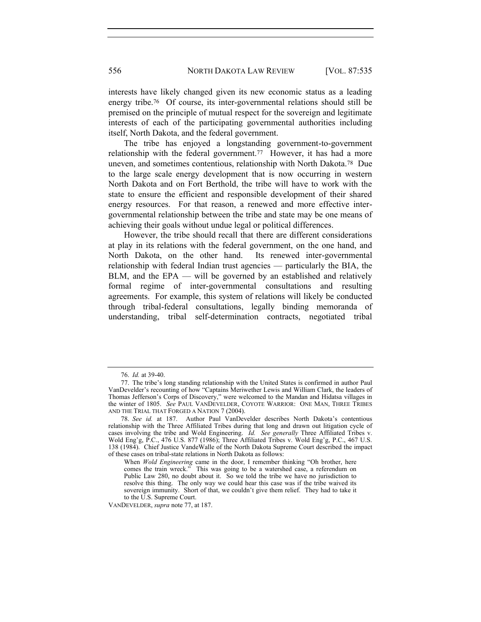interests have likely changed given its new economic status as a leading energy tribe.76 Of course, its inter-governmental relations should still be premised on the principle of mutual respect for the sovereign and legitimate interests of each of the participating governmental authorities including itself, North Dakota, and the federal government.

The tribe has enjoyed a longstanding government-to-government relationship with the federal government.77 However, it has had a more uneven, and sometimes contentious, relationship with North Dakota.78 Due to the large scale energy development that is now occurring in western North Dakota and on Fort Berthold, the tribe will have to work with the state to ensure the efficient and responsible development of their shared energy resources. For that reason, a renewed and more effective intergovernmental relationship between the tribe and state may be one means of achieving their goals without undue legal or political differences.

However, the tribe should recall that there are different considerations at play in its relations with the federal government, on the one hand, and North Dakota, on the other hand. Its renewed inter-governmental relationship with federal Indian trust agencies — particularly the BIA, the  $BLM$ , and the  $EPA$  — will be governed by an established and relatively formal regime of inter-governmental consultations and resulting agreements. For example, this system of relations will likely be conducted through tribal-federal consultations, legally binding memoranda of understanding, tribal self-determination contracts, negotiated tribal

<sup>76.</sup> *Id.* at 39-40.

<sup>77.</sup> The tribe's long standing relationship with the United States is confirmed in author Paul VanDevelder's recounting of how "Captains Meriwether Lewis and William Clark, the leaders of Thomas Jefferson's Corps of Discovery," were welcomed to the Mandan and Hidatsa villages in the winter of 1805. *See* PAUL VANDEVELDER, COYOTE WARRIOR: ONE MAN, THREE TRIBES AND THE TRIAL THAT FORGED A NATION 7 (2004).

<sup>78.</sup> *See id.* at 187. Author Paul VanDevelder describes North Dakota's contentious relationship with the Three Affiliated Tribes during that long and drawn out litigation cycle of cases involving the tribe and Wold Engineering. *Id. See generally* Three Affiliated Tribes v. Wold Eng'g, P.C., 476 U.S. 877 (1986); Three Affiliated Tribes v. Wold Eng'g, P.C., 467 U.S. 138 (1984). Chief Justice VandeWalle of the North Dakota Supreme Court described the impact of these cases on tribal-state relations in North Dakota as follows:

When *Wold Engineering* came in the door, I remember thinking "Oh brother, here comes the train wreck." This was going to be a watershed case, a referendum on Public Law 280, no doubt about it. So we told the tribe we have no jurisdiction to resolve this thing. The only way we could hear this case was if the tribe waived its sovereign immunity. Short of that, we couldn't give them relief. They had to take it to the U.S. Supreme Court.

VANDEVELDER, *supra* note 77, at 187.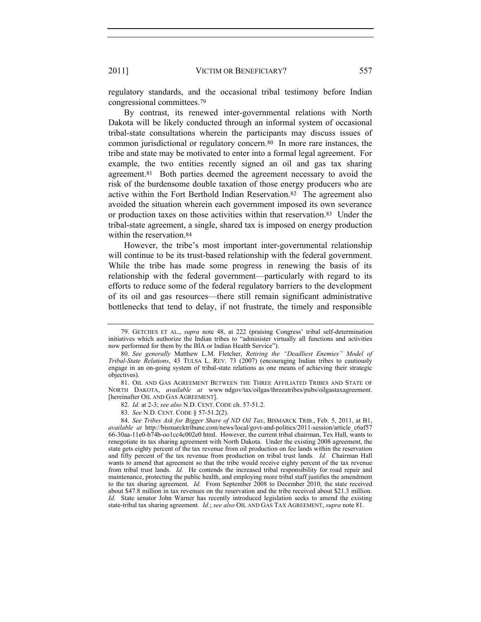regulatory standards, and the occasional tribal testimony before Indian congressional committees.<sup>79</sup>

By contrast, its renewed inter-governmental relations with North Dakota will be likely conducted through an informal system of occasional tribal-state consultations wherein the participants may discuss issues of common jurisdictional or regulatory concern.80 In more rare instances, the tribe and state may be motivated to enter into a formal legal agreement. For example, the two entities recently signed an oil and gas tax sharing agreement.81 Both parties deemed the agreement necessary to avoid the risk of the burdensome double taxation of those energy producers who are active within the Fort Berthold Indian Reservation.82 The agreement also avoided the situation wherein each government imposed its own severance or production taxes on those activities within that reservation.83 Under the tribal-state agreement, a single, shared tax is imposed on energy production within the reservation.<sup>84</sup>

However, the tribe's most important inter-governmental relationship will continue to be its trust-based relationship with the federal government. While the tribe has made some progress in renewing the basis of its relationship with the federal government—particularly with regard to its efforts to reduce some of the federal regulatory barriers to the development of its oil and gas resources—there still remain significant administrative bottlenecks that tend to delay, if not frustrate, the timely and responsible

83. *See* N.D. CENT. CODE § 57-51.2(2).

84. *See Tribes Ask for Bigger Share of ND Oil Tax*, BISMARCK TRIB., Feb. 5, 2011, at B1, *available at* http://bismarcktribune.com/news/local/govt-and-politics/2011-session/article\_c6af57 66-30aa-11e0-b74b-oo1cc4c002e0 html. However, the current tribal chairman, Tex Hall, wants to renegotiate its tax sharing agreement with North Dakota. Under the existing 2008 agreement, the state gets eighty percent of the tax revenue from oil production on fee lands within the reservation and fifty percent of the tax revenue from production on tribal trust lands. *Id.* Chairman Hall wants to amend that agreement so that the tribe would receive eighty percent of the tax revenue from tribal trust lands. *Id.* He contends the increased tribal responsibility for road repair and maintenance, protecting the public health, and employing more tribal staff justifies the amendment to the tax sharing agreement. *Id.* From September 2008 to December 2010, the state received about \$47.8 million in tax revenues on the reservation and the tribe received about \$21.3 million. *Id.* State senator John Warner has recently introduced legislation seeks to amend the existing state-tribal tax sharing agreement. *Id.*; *see also* OIL AND GAS TAX AGREEMENT, *supra* note 81.

<sup>79.</sup> GETCHES ET AL., *supra* note 48, at 222 (praising Congress' tribal self-determination initiatives which authorize the Indian tribes to "administer virtually all functions and activities now performed for them by the BIA or Indian Health Service").

<sup>80.</sup> *See generally* Matthew L.M. Fletcher, *Retiring the "Deadliest Enemies" Model of Tribal-State Relations*, 43 TULSA L. REV. 73 (2007) (encouraging Indian tribes to cautiously engage in an on-going system of tribal-state relations as one means of achieving their strategic objectives).

<sup>81.</sup> OIL AND GAS AGREEMENT BETWEEN THE THREE AFFILIATED TRIBES AND STATE OF NORTH DAKOTA, *available at* [www ndgov/tax/oilgas/threeatribes/pubs/oilgastaxagreement.](http://www.ndgov/tax/oilgas/threeatribes/pubs/oilgastaxagreement) [hereinafter OIL AND GAS AGREEMENT].

<sup>82.</sup> *Id.* at 2-3; *see also* N.D. CENT. CODE ch. 57-51.2.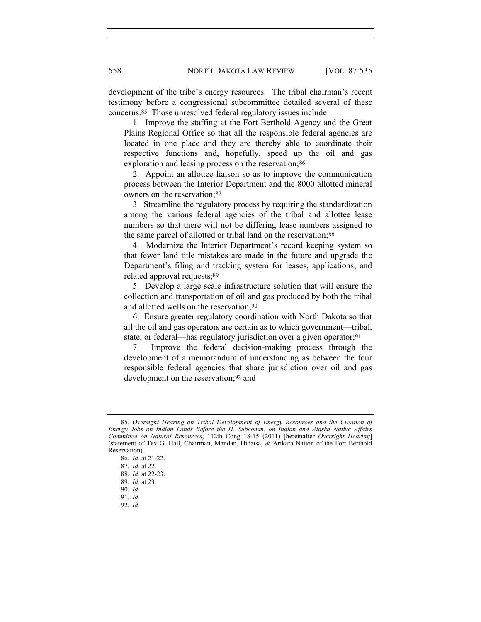development of the tribe's energy resources. The tribal chairman's recent testimony before a congressional subcommittee detailed several of these concerns.85 Those unresolved federal regulatory issues include:

 1. Improve the staffing at the Fort Berthold Agency and the Great Plains Regional Office so that all the responsible federal agencies are located in one place and they are thereby able to coordinate their respective functions and, hopefully, speed up the oil and gas exploration and leasing process on the reservation;<sup>86</sup>

 2. Appoint an allottee liaison so as to improve the communication process between the Interior Department and the 8000 allotted mineral owners on the reservation;<sup>87</sup>

 3. Streamline the regulatory process by requiring the standardization among the various federal agencies of the tribal and allottee lease numbers so that there will not be differing lease numbers assigned to the same parcel of allotted or tribal land on the reservation;88

 4. Modernize the Interior Department's record keeping system so that fewer land title mistakes are made in the future and upgrade the Department's filing and tracking system for leases, applications, and related approval requests;<sup>89</sup>

 5. Develop a large scale infrastructure solution that will ensure the collection and transportation of oil and gas produced by both the tribal and allotted wells on the reservation;90

 6. Ensure greater regulatory coordination with North Dakota so that all the oil and gas operators are certain as to which government—tribal, state, or federal—has regulatory jurisdiction over a given operator;<sup>91</sup>

 7. Improve the federal decision-making process through the development of a memorandum of understanding as between the four responsible federal agencies that share jurisdiction over oil and gas development on the reservation;<sup>92</sup> and

92. *Id.*

<sup>85.</sup> *Oversight Hearing on Tribal Development of Energy Resources and the Creation of Energy Jobs on Indian Lands Before the H. Subcomm. on Indian and Alaska Native Affairs Committee on Natural Resources*, 112th Cong 18-15 (2011) [hereinafter *Oversight Hearing*] (statement of Tex G. Hall, Chairman, Mandan, Hidatsa, & Arikara Nation of the Fort Berthold Reservation).

<sup>86.</sup> *Id.* at 21-22.

<sup>87.</sup> *Id.* at 22.

<sup>88.</sup> *Id.* at 22-23.

<sup>89.</sup> *Id.* at 23.

<sup>90.</sup> *Id.*

<sup>91.</sup> *Id.*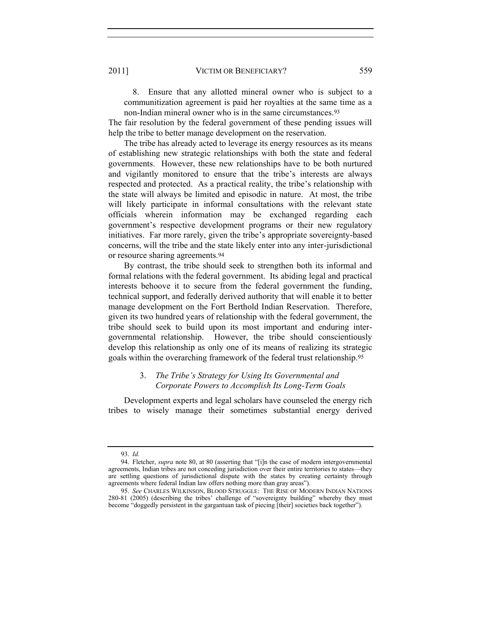8. Ensure that any allotted mineral owner who is subject to a communitization agreement is paid her royalties at the same time as a non-Indian mineral owner who is in the same circumstances.<sup>93</sup>

The fair resolution by the federal government of these pending issues will help the tribe to better manage development on the reservation.

The tribe has already acted to leverage its energy resources as its means of establishing new strategic relationships with both the state and federal governments. However, these new relationships have to be both nurtured and vigilantly monitored to ensure that the tribe's interests are always respected and protected. As a practical reality, the tribe's relationship with the state will always be limited and episodic in nature. At most, the tribe will likely participate in informal consultations with the relevant state officials wherein information may be exchanged regarding each government's respective development programs or their new regulatory initiatives. Far more rarely, given the tribe's appropriate sovereignty-based concerns, will the tribe and the state likely enter into any inter-jurisdictional or resource sharing agreements.<sup>94</sup>

By contrast, the tribe should seek to strengthen both its informal and formal relations with the federal government. Its abiding legal and practical interests behoove it to secure from the federal government the funding, technical support, and federally derived authority that will enable it to better manage development on the Fort Berthold Indian Reservation. Therefore, given its two hundred years of relationship with the federal government, the tribe should seek to build upon its most important and enduring intergovernmental relationship. However, the tribe should conscientiously develop this relationship as only one of its means of realizing its strategic goals within the overarching framework of the federal trust relationship.<sup>95</sup>

## 3. *The Tribe's Strategy for Using Its Governmental and Corporate Powers to Accomplish Its Long-Term Goals*

Development experts and legal scholars have counseled the energy rich tribes to wisely manage their sometimes substantial energy derived

<sup>93.</sup> *Id.*

<sup>94.</sup> Fletcher, *supra* note 80, at 80 (asserting that "[i]n the case of modern intergovernmental agreements, Indian tribes are not conceding jurisdiction over their entire territories to states—they are settling questions of jurisdictional dispute with the states by creating certainty through agreements where federal Indian law offers nothing more than gray areas").

<sup>95.</sup> *See* CHARLES WILKINSON, BLOOD STRUGGLE: THE RISE OF MODERN INDIAN NATIONS 280-81 (2005) (describing the tribes' challenge of "sovereignty building" whereby they must become "doggedly persistent in the gargantuan task of piecing [their] societies back together").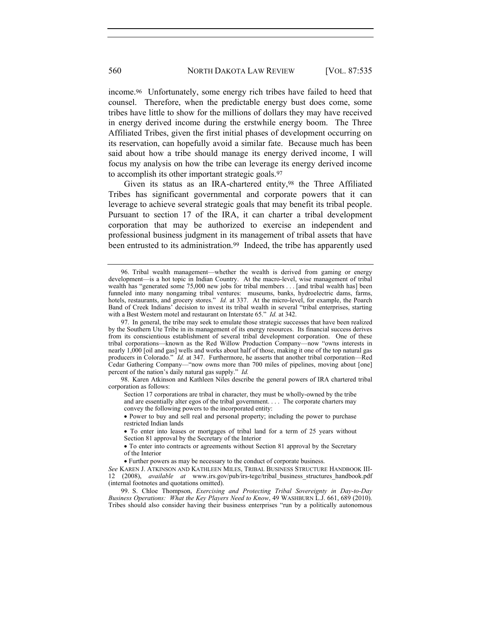income.96 Unfortunately, some energy rich tribes have failed to heed that counsel. Therefore, when the predictable energy bust does come, some tribes have little to show for the millions of dollars they may have received in energy derived income during the erstwhile energy boom. The Three Affiliated Tribes, given the first initial phases of development occurring on its reservation, can hopefully avoid a similar fate. Because much has been said about how a tribe should manage its energy derived income, I will focus my analysis on how the tribe can leverage its energy derived income to accomplish its other important strategic goals.<sup>97</sup>

Given its status as an IRA-chartered entity,98 the Three Affiliated Tribes has significant governmental and corporate powers that it can leverage to achieve several strategic goals that may benefit its tribal people. Pursuant to section 17 of the IRA, it can charter a tribal development corporation that may be authorized to exercise an independent and professional business judgment in its management of tribal assets that have been entrusted to its administration.<sup>99</sup> Indeed, the tribe has apparently used

<sup>96.</sup> Tribal wealth management—whether the wealth is derived from gaming or energy development—is a hot topic in Indian Country. At the macro-level, wise management of tribal wealth has "generated some 75,000 new jobs for tribal members . . . [and tribal wealth has] been funneled into many nongaming tribal ventures: museums, banks, hydroelectric dams, farms, hotels, restaurants, and grocery stores." *Id.* at 337. At the micro-level, for example, the Poarch Band of Creek Indians' decision to invest its tribal wealth in several "tribal enterprises, starting with a Best Western motel and restaurant on Interstate 65." *Id.* at 342.

<sup>97.</sup> In general, the tribe may seek to emulate those strategic successes that have been realized by the Southern Ute Tribe in its management of its energy resources. Its financial success derives from its conscientious establishment of several tribal development corporation. One of these tribal corporations—known as the Red Willow Production Company—now "owns interests in nearly 1,000 [oil and gas] wells and works about half of those, making it one of the top natural gas producers in Colorado." *Id.* at 347. Furthermore, he asserts that another tribal corporation-Red Cedar Gathering Company—"now owns more than 700 miles of pipelines, moving about [one] percent of the nation's daily natural gas supply." *Id.*

<sup>98.</sup> Karen Atkinson and Kathleen Niles describe the general powers of IRA chartered tribal corporation as follows:

Section 17 corporations are tribal in character, they must be wholly-owned by the tribe and are essentially alter egos of the tribal government. . . . The corporate charters may convey the following powers to the incorporated entity:

Power to buy and sell real and personal property; including the power to purchase restricted Indian lands

To enter into leases or mortgages of tribal land for a term of 25 years without Section 81 approval by the Secretary of the Interior

To enter into contracts or agreements without Section 81 approval by the Secretary of the Interior

Further powers as may be necessary to the conduct of corporate business.

*See* KAREN J. ATKINSON AND KATHLEEN MILES, TRIBAL BUSINESS STRUCTURE HANDBOOK III-12 (2008), *available at* www.irs.gov/pub/irs-tege/tribal\_business\_structures\_handbook.pdf (internal footnotes and quotations omitted).

<sup>99.</sup> S. Chloe Thompson, *Exercising and Protecting Tribal Sovereignty in Day-to-Day Business Operations: What the Key Players Need to Know*, 49 WASHBURN L.J. 661, 689 (2010). Tribes should also consider having their business enterprises "run by a politically autonomous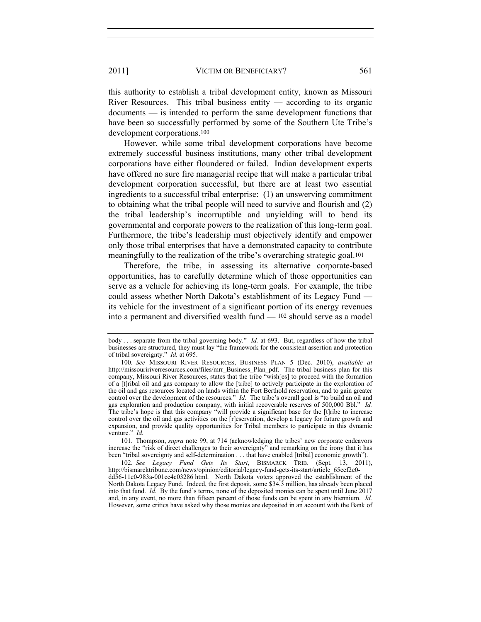this authority to establish a tribal development entity, known as Missouri River Resources. This tribal business entity  $-$  according to its organic documents — is intended to perform the same development functions that have been so successfully performed by some of the Southern Ute Tribe's development corporations.<sup>100</sup>

However, while some tribal development corporations have become extremely successful business institutions, many other tribal development corporations have either floundered or failed. Indian development experts have offered no sure fire managerial recipe that will make a particular tribal development corporation successful, but there are at least two essential ingredients to a successful tribal enterprise: (1) an unswerving commitment to obtaining what the tribal people will need to survive and flourish and (2) the tribal leadership's incorruptible and unyielding will to bend its governmental and corporate powers to the realization of this long-term goal. Furthermore, the tribe's leadership must objectively identify and empower only those tribal enterprises that have a demonstrated capacity to contribute meaningfully to the realization of the tribe's overarching strategic goal.<sup>101</sup>

Therefore, the tribe, in assessing its alternative corporate-based opportunities, has to carefully determine which of those opportunities can serve as a vehicle for achieving its long-term goals. For example, the tribe could assess whether North Dakota's establishment of its Legacy Fund its vehicle for the investment of a significant portion of its energy revenues into a permanent and diversified wealth fund — <sup>102</sup> should serve as a model

101. Thompson, *supra* note 99, at 714 (acknowledging the tribes' new corporate endeavors increase the "risk of direct challenges to their sovereignty" and remarking on the irony that it has been "tribal sovereignty and self-determination . . . that have enabled [tribal] economic growth").

102. *See Legacy Fund Gets Its Start*, BISMARCK TRIB. (Sept. 13, 2011), http://bismarcktribune.com/news/opinion/editorial/legacy-fund-gets-its-start/article\_65cef2e0 dd56-11e0-983a-001cc4c03286 html. North Dakota voters approved the establishment of the North Dakota Legacy Fund. Indeed, the first deposit, some \$34.3 million, has already been placed into that fund. *Id.* By the fund's terms, none of the deposited monies can be spent until June 2017 and, in any event, no more than fifteen percent of those funds can be spent in any biennium. *Id.* However, some critics have asked why those monies are deposited in an account with the Bank of

body . . . separate from the tribal governing body." *Id.* at 693. But, regardless of how the tribal businesses are structured, they must lay "the framework for the consistent assertion and protection of tribal sovereignty." *Id.* at 695.

<sup>100.</sup> *See* MISSOURI RIVER RESOURCES, BUSINESS PLAN 5 (Dec. 2010), *available at* http://missouririverresources.com/files/mrr\_Business\_Plan\_pdf. The tribal business plan for this company, Missouri River Resources, states that the tribe "wish[es] to proceed with the formation of a [t]ribal oil and gas company to allow the [tribe] to actively participate in the exploration of the oil and gas resources located on lands within the Fort Berthold reservation, and to gain greater control over the development of the resources." *Id.* The tribe's overall goal is "to build an oil and gas exploration and production company, with initial recoverable reserves of 500,000 Bbl." *Id.* The tribe's hope is that this company "will provide a significant base for the [t]ribe to increase control over the oil and gas activities on the [r]eservation, develop a legacy for future growth and expansion, and provide quality opportunities for Tribal members to participate in this dynamic venture." *Id.*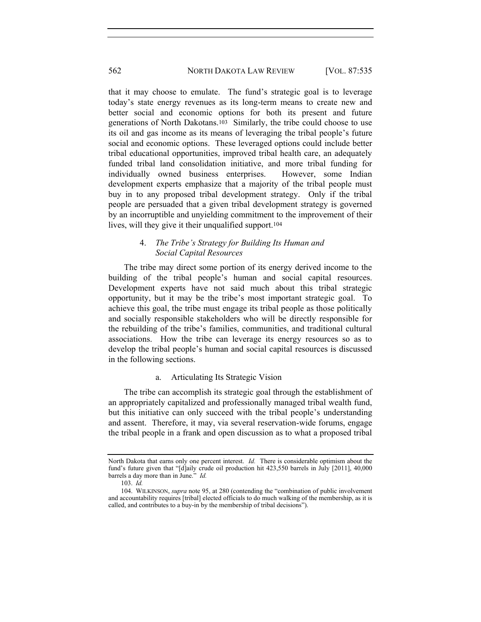that it may choose to emulate. The fund's strategic goal is to leverage today's state energy revenues as its long-term means to create new and better social and economic options for both its present and future generations of North Dakotans.103 Similarly, the tribe could choose to use its oil and gas income as its means of leveraging the tribal people's future social and economic options. These leveraged options could include better tribal educational opportunities, improved tribal health care, an adequately funded tribal land consolidation initiative, and more tribal funding for individually owned business enterprises. However, some Indian development experts emphasize that a majority of the tribal people must buy in to any proposed tribal development strategy. Only if the tribal people are persuaded that a given tribal development strategy is governed by an incorruptible and unyielding commitment to the improvement of their lives, will they give it their unqualified support.<sup>104</sup>

## 4. *The Tribe's Strategy for Building Its Human and Social Capital Resources*

The tribe may direct some portion of its energy derived income to the building of the tribal people's human and social capital resources. Development experts have not said much about this tribal strategic opportunity, but it may be the tribe's most important strategic goal. To achieve this goal, the tribe must engage its tribal people as those politically and socially responsible stakeholders who will be directly responsible for the rebuilding of the tribe's families, communities, and traditional cultural associations. How the tribe can leverage its energy resources so as to develop the tribal people's human and social capital resources is discussed in the following sections.

## a. Articulating Its Strategic Vision

The tribe can accomplish its strategic goal through the establishment of an appropriately capitalized and professionally managed tribal wealth fund, but this initiative can only succeed with the tribal people's understanding and assent. Therefore, it may, via several reservation-wide forums, engage the tribal people in a frank and open discussion as to what a proposed tribal

North Dakota that earns only one percent interest. *Id.* There is considerable optimism about the fund's future given that "[d]aily crude oil production hit 423,550 barrels in July [2011], 40,000 barrels a day more than in June." *Id.*

<sup>103.</sup> *Id.*

<sup>104.</sup> WILKINSON, *supra* note 95, at 280 (contending the "combination of public involvement and accountability requires [tribal] elected officials to do much walking of the membership, as it is called, and contributes to a buy-in by the membership of tribal decisions").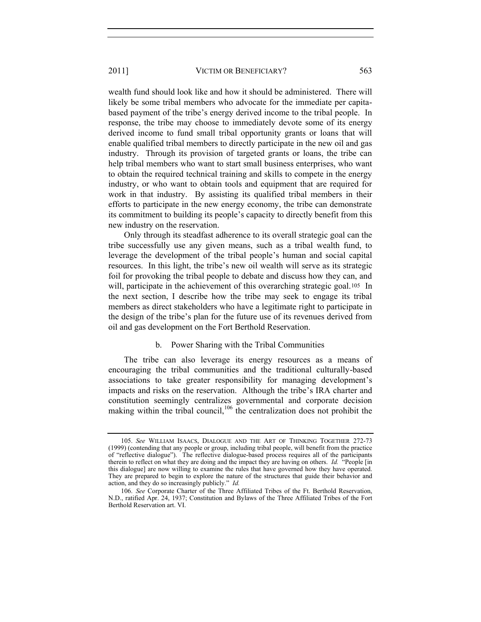wealth fund should look like and how it should be administered. There will likely be some tribal members who advocate for the immediate per capitabased payment of the tribe's energy derived income to the tribal people. In response, the tribe may choose to immediately devote some of its energy derived income to fund small tribal opportunity grants or loans that will enable qualified tribal members to directly participate in the new oil and gas industry. Through its provision of targeted grants or loans, the tribe can help tribal members who want to start small business enterprises, who want to obtain the required technical training and skills to compete in the energy industry, or who want to obtain tools and equipment that are required for work in that industry. By assisting its qualified tribal members in their efforts to participate in the new energy economy, the tribe can demonstrate its commitment to building its people's capacity to directly benefit from this new industry on the reservation.

Only through its steadfast adherence to its overall strategic goal can the tribe successfully use any given means, such as a tribal wealth fund, to leverage the development of the tribal people's human and social capital resources. In this light, the tribe's new oil wealth will serve as its strategic foil for provoking the tribal people to debate and discuss how they can, and will, participate in the achievement of this overarching strategic goal.<sup>105</sup> In the next section, I describe how the tribe may seek to engage its tribal members as direct stakeholders who have a legitimate right to participate in the design of the tribe's plan for the future use of its revenues derived from oil and gas development on the Fort Berthold Reservation.

# b. Power Sharing with the Tribal Communities

The tribe can also leverage its energy resources as a means of encouraging the tribal communities and the traditional culturally-based associations to take greater responsibility for managing development's impacts and risks on the reservation. Although the tribe's IRA charter and constitution seemingly centralizes governmental and corporate decision making within the tribal council,<sup>106</sup> the centralization does not prohibit the

<sup>105.</sup> *See* WILLIAM ISAACS, DIALOGUE AND THE ART OF THINKING TOGETHER 272-73 (1999) (contending that any people or group, including tribal people, will benefit from the practice of "reflective dialogue"). The reflective dialogue-based process requires all of the participants therein to reflect on what they are doing and the impact they are having on others. *Id.* "People [in this dialogue] are now willing to examine the rules that have governed how they have operated. They are prepared to begin to explore the nature of the structures that guide their behavior and action, and they do so increasingly publicly." *Id.*

<sup>106.</sup> *See* Corporate Charter of the Three Affiliated Tribes of the Ft. Berthold Reservation, N.D., ratified Apr. 24, 1937; Constitution and Bylaws of the Three Affiliated Tribes of the Fort Berthold Reservation art. VI.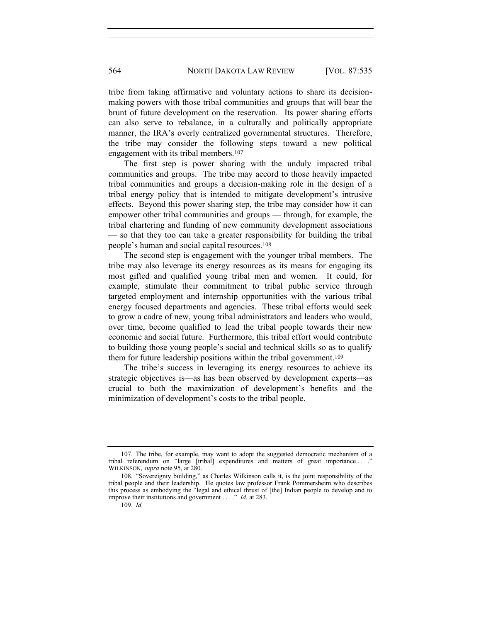tribe from taking affirmative and voluntary actions to share its decisionmaking powers with those tribal communities and groups that will bear the brunt of future development on the reservation. Its power sharing efforts can also serve to rebalance, in a culturally and politically appropriate manner, the IRA's overly centralized governmental structures. Therefore, the tribe may consider the following steps toward a new political engagement with its tribal members.<sup>107</sup>

The first step is power sharing with the unduly impacted tribal communities and groups. The tribe may accord to those heavily impacted tribal communities and groups a decision-making role in the design of a tribal energy policy that is intended to mitigate development's intrusive effects. Beyond this power sharing step, the tribe may consider how it can empower other tribal communities and groups — through, for example, the tribal chartering and funding of new community development associations — so that they too can take a greater responsibility for building the tribal people's human and social capital resources.<sup>108</sup>

The second step is engagement with the younger tribal members. The tribe may also leverage its energy resources as its means for engaging its most gifted and qualified young tribal men and women. It could, for example, stimulate their commitment to tribal public service through targeted employment and internship opportunities with the various tribal energy focused departments and agencies. These tribal efforts would seek to grow a cadre of new, young tribal administrators and leaders who would, over time, become qualified to lead the tribal people towards their new economic and social future. Furthermore, this tribal effort would contribute to building those young people's social and technical skills so as to qualify them for future leadership positions within the tribal government.<sup>109</sup>

The tribe's success in leveraging its energy resources to achieve its strategic objectives is—as has been observed by development experts—as crucial to both the maximization of development's benefits and the minimization of development's costs to the tribal people.

<sup>107.</sup> The tribe, for example, may want to adopt the suggested democratic mechanism of a tribal referendum on "large [tribal] expenditures and matters of great importance ... WILKINSON, *supra* note 95, at 280.

<sup>108.</sup> "Sovereignty building," as Charles Wilkinson calls it, is the joint responsibility of the tribal people and their leadership. He quotes law professor Frank Pommersheim who describes this process as embodying the "legal and ethical thrust of [the] Indian people to develop and to improve their institutions and government . . . ." *Id.* at 283.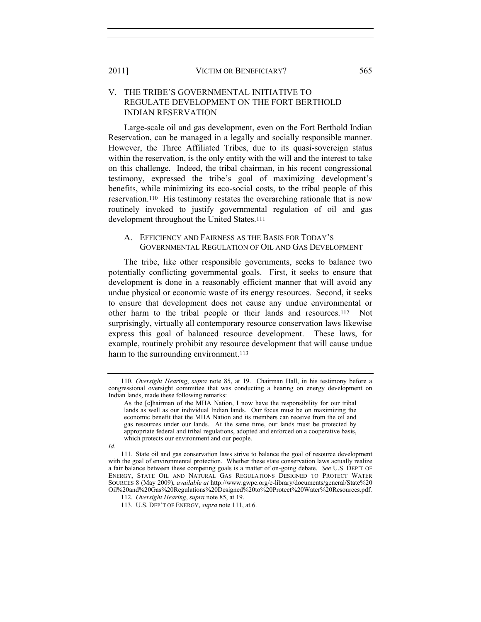## V. THE TRIBE'S GOVERNMENTAL INITIATIVE TO REGULATE DEVELOPMENT ON THE FORT BERTHOLD INDIAN RESERVATION

Large-scale oil and gas development, even on the Fort Berthold Indian Reservation, can be managed in a legally and socially responsible manner. However, the Three Affiliated Tribes, due to its quasi-sovereign status within the reservation, is the only entity with the will and the interest to take on this challenge. Indeed, the tribal chairman, in his recent congressional testimony, expressed the tribe's goal of maximizing development's benefits, while minimizing its eco-social costs, to the tribal people of this reservation.110 His testimony restates the overarching rationale that is now routinely invoked to justify governmental regulation of oil and gas development throughout the United States.<sup>111</sup>

### A. EFFICIENCY AND FAIRNESS AS THE BASIS FOR TODAY'S GOVERNMENTAL REGULATION OF OIL AND GAS DEVELOPMENT

The tribe, like other responsible governments, seeks to balance two potentially conflicting governmental goals. First, it seeks to ensure that development is done in a reasonably efficient manner that will avoid any undue physical or economic waste of its energy resources. Second, it seeks to ensure that development does not cause any undue environmental or other harm to the tribal people or their lands and resources.112 Not surprisingly, virtually all contemporary resource conservation laws likewise express this goal of balanced resource development. These laws, for example, routinely prohibit any resource development that will cause undue harm to the surrounding environment.<sup>113</sup>

<sup>110.</sup> *Oversight Hearing*, *supra* note 85, at 19. Chairman Hall, in his testimony before a congressional oversight committee that was conducting a hearing on energy development on Indian lands, made these following remarks:

As the [c]hairman of the MHA Nation, I now have the responsibility for our tribal lands as well as our individual Indian lands. Our focus must be on maximizing the economic benefit that the MHA Nation and its members can receive from the oil and gas resources under our lands. At the same time, our lands must be protected by appropriate federal and tribal regulations, adopted and enforced on a cooperative basis, which protects our environment and our people.

*Id.* 

<sup>111.</sup> State oil and gas conservation laws strive to balance the goal of resource development with the goal of environmental protection. Whether these state conservation laws actually realize a fair balance between these competing goals is a matter of on-going debate. *See* U.S. DEP'T OF ENERGY, STATE OIL AND NATURAL GAS REGULATIONS DESIGNED TO PROTECT WATER SOURCES 8 (May 2009), *available at* http://www.gwpc.org/e-library/documents/general/State%20 Oil%20and%20Gas%20Regulations%20Designed%20to%20Protect%20Water%20Resources.pdf.

<sup>112.</sup> *Oversight Hearing*, *supra* note 85, at 19.

<sup>113.</sup> U.S. DEP'T OF ENERGY, *supra* note 111, at 6.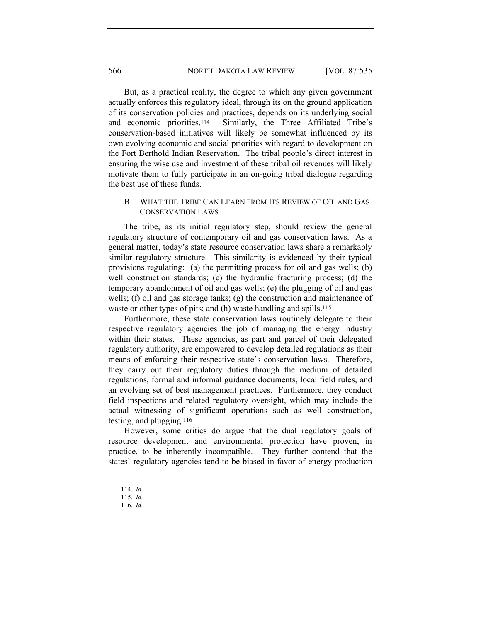But, as a practical reality, the degree to which any given government actually enforces this regulatory ideal, through its on the ground application of its conservation policies and practices, depends on its underlying social and economic priorities.114 Similarly, the Three Affiliated Tribe's conservation-based initiatives will likely be somewhat influenced by its own evolving economic and social priorities with regard to development on the Fort Berthold Indian Reservation. The tribal people's direct interest in ensuring the wise use and investment of these tribal oil revenues will likely motivate them to fully participate in an on-going tribal dialogue regarding the best use of these funds.

## B. WHAT THE TRIBE CAN LEARN FROM ITS REVIEW OF OIL AND GAS CONSERVATION LAWS

The tribe, as its initial regulatory step, should review the general regulatory structure of contemporary oil and gas conservation laws. As a general matter, today's state resource conservation laws share a remarkably similar regulatory structure. This similarity is evidenced by their typical provisions regulating: (a) the permitting process for oil and gas wells; (b) well construction standards; (c) the hydraulic fracturing process; (d) the temporary abandonment of oil and gas wells; (e) the plugging of oil and gas wells; (f) oil and gas storage tanks; (g) the construction and maintenance of waste or other types of pits; and (h) waste handling and spills.<sup>115</sup>

Furthermore, these state conservation laws routinely delegate to their respective regulatory agencies the job of managing the energy industry within their states. These agencies, as part and parcel of their delegated regulatory authority, are empowered to develop detailed regulations as their means of enforcing their respective state's conservation laws. Therefore, they carry out their regulatory duties through the medium of detailed regulations, formal and informal guidance documents, local field rules, and an evolving set of best management practices. Furthermore, they conduct field inspections and related regulatory oversight, which may include the actual witnessing of significant operations such as well construction, testing, and plugging.<sup>116</sup>

However, some critics do argue that the dual regulatory goals of resource development and environmental protection have proven, in practice, to be inherently incompatible. They further contend that the states' regulatory agencies tend to be biased in favor of energy production

<sup>114.</sup> *Id.*

<sup>115.</sup> *Id.*

<sup>116.</sup> *Id.*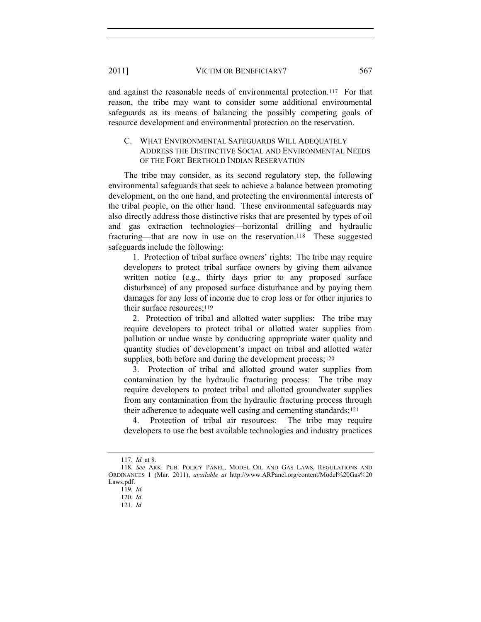and against the reasonable needs of environmental protection.117 For that reason, the tribe may want to consider some additional environmental safeguards as its means of balancing the possibly competing goals of resource development and environmental protection on the reservation.

## C. WHAT ENVIRONMENTAL SAFEGUARDS WILL ADEQUATELY ADDRESS THE DISTINCTIVE SOCIAL AND ENVIRONMENTAL NEEDS OF THE FORT BERTHOLD INDIAN RESERVATION

The tribe may consider, as its second regulatory step, the following environmental safeguards that seek to achieve a balance between promoting development, on the one hand, and protecting the environmental interests of the tribal people, on the other hand. These environmental safeguards may also directly address those distinctive risks that are presented by types of oil and gas extraction technologies—horizontal drilling and hydraulic fracturing—that are now in use on the reservation.118 These suggested safeguards include the following:

 1. Protection of tribal surface owners' rights: The tribe may require developers to protect tribal surface owners by giving them advance written notice (e.g., thirty days prior to any proposed surface disturbance) of any proposed surface disturbance and by paying them damages for any loss of income due to crop loss or for other injuries to their surface resources;<sup>119</sup>

 2. Protection of tribal and allotted water supplies: The tribe may require developers to protect tribal or allotted water supplies from pollution or undue waste by conducting appropriate water quality and quantity studies of development's impact on tribal and allotted water supplies, both before and during the development process;<sup>120</sup>

 3. Protection of tribal and allotted ground water supplies from contamination by the hydraulic fracturing process: The tribe may require developers to protect tribal and allotted groundwater supplies from any contamination from the hydraulic fracturing process through their adherence to adequate well casing and cementing standards;<sup>121</sup>

4. Protection of tribal air resources: The tribe may require developers to use the best available technologies and industry practices

<sup>117.</sup> *Id.* at 8.

<sup>118.</sup> *See* ARK. PUB. POLICY PANEL, MODEL OIL AND GAS LAWS, REGULATIONS AND ORDINANCES 1 (Mar. 2011), *available at* http://www.ARPanel.org/content/Model%20Gas%20 Laws.pdf.

<sup>119.</sup> *Id.*

<sup>120.</sup> *Id.*

<sup>121.</sup> *Id.*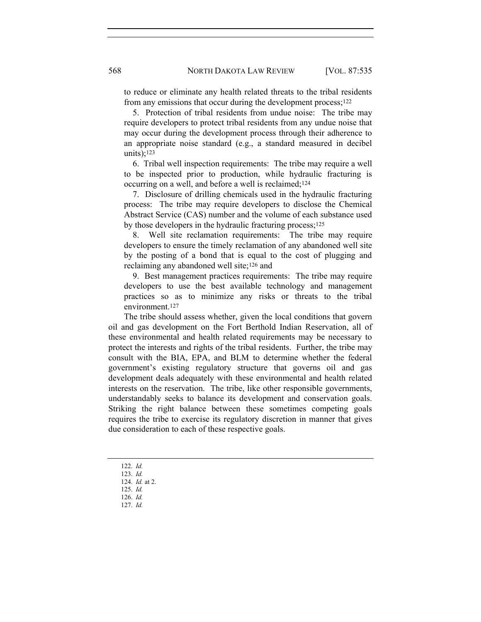to reduce or eliminate any health related threats to the tribal residents from any emissions that occur during the development process;<sup>122</sup>

 5. Protection of tribal residents from undue noise: The tribe may require developers to protect tribal residents from any undue noise that may occur during the development process through their adherence to an appropriate noise standard (e.g., a standard measured in decibel units):<sup>123</sup>

 6. Tribal well inspection requirements: The tribe may require a well to be inspected prior to production, while hydraulic fracturing is occurring on a well, and before a well is reclaimed;<sup>124</sup>

 7. Disclosure of drilling chemicals used in the hydraulic fracturing process: The tribe may require developers to disclose the Chemical Abstract Service (CAS) number and the volume of each substance used by those developers in the hydraulic fracturing process;<sup>125</sup>

 8. Well site reclamation requirements: The tribe may require developers to ensure the timely reclamation of any abandoned well site by the posting of a bond that is equal to the cost of plugging and reclaiming any abandoned well site;126 and

 9. Best management practices requirements: The tribe may require developers to use the best available technology and management practices so as to minimize any risks or threats to the tribal environment.<sup>127</sup>

The tribe should assess whether, given the local conditions that govern oil and gas development on the Fort Berthold Indian Reservation, all of these environmental and health related requirements may be necessary to protect the interests and rights of the tribal residents. Further, the tribe may consult with the BIA, EPA, and BLM to determine whether the federal government's existing regulatory structure that governs oil and gas development deals adequately with these environmental and health related interests on the reservation. The tribe, like other responsible governments, understandably seeks to balance its development and conservation goals. Striking the right balance between these sometimes competing goals requires the tribe to exercise its regulatory discretion in manner that gives due consideration to each of these respective goals.

122. *Id.*

- 123. *Id.*
- 124. *Id.* at 2.
- 125. *Id.*
- 126. *Id.*
- 127. *Id.*